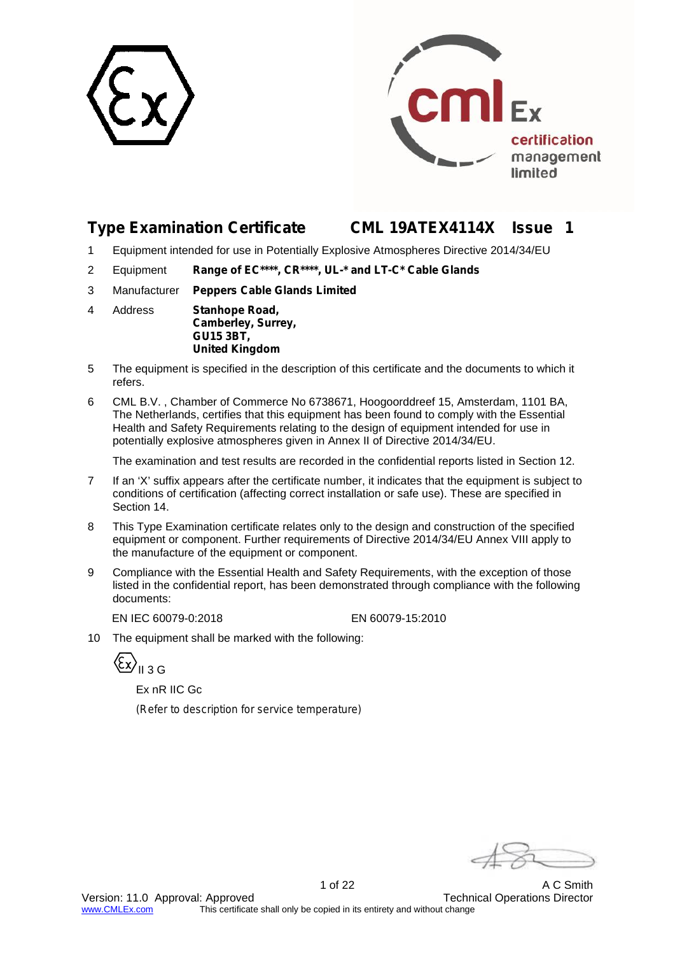



# **Type Examination Certificate CML 19ATEX4114X Issue 1**

- 1 Equipment intended for use in Potentially Explosive Atmospheres Directive 2014/34/EU
- 2 Equipment **Range of EC\*\*\*\*, CR\*\*\*\*, UL-\* and LT-C\* Cable Glands**
- 3 Manufacturer **Peppers Cable Glands Limited**
- 4 Address **Stanhope Road, Camberley, Surrey, GU15 3BT, United Kingdom**
- 5 The equipment is specified in the description of this certificate and the documents to which it refers.
- 6 CML B.V. , Chamber of Commerce No 6738671, Hoogoorddreef 15, Amsterdam, 1101 BA, The Netherlands, certifies that this equipment has been found to comply with the Essential Health and Safety Requirements relating to the design of equipment intended for use in potentially explosive atmospheres given in Annex II of Directive 2014/34/EU.

The examination and test results are recorded in the confidential reports listed in Section 12.

- 7 If an 'X' suffix appears after the certificate number, it indicates that the equipment is subject to conditions of certification (affecting correct installation or safe use). These are specified in Section 14.
- 8 This Type Examination certificate relates only to the design and construction of the specified equipment or component. Further requirements of Directive 2014/34/EU Annex VIII apply to the manufacture of the equipment or component.
- 9 Compliance with the Essential Health and Safety Requirements, with the exception of those listed in the confidential report, has been demonstrated through compliance with the following documents:

EN IEC 60079-0:2018 EN 60079-15:2010

10 The equipment shall be marked with the following:

ξx)<sub>II 3 G</sub>

Ex nR IIC Gc

*(Refer to description for service temperature)*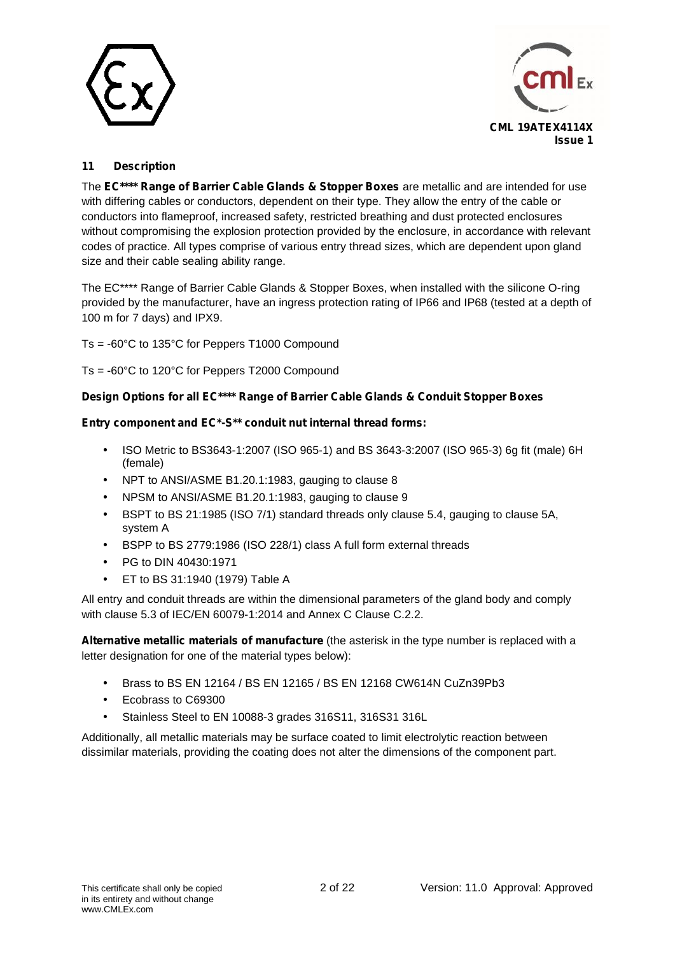



# **11 Description**

The **EC\*\*\*\* Range of Barrier Cable Glands & Stopper Boxes** are metallic and are intended for use with differing cables or conductors, dependent on their type. They allow the entry of the cable or conductors into flameproof, increased safety, restricted breathing and dust protected enclosures without compromising the explosion protection provided by the enclosure, in accordance with relevant codes of practice. All types comprise of various entry thread sizes, which are dependent upon gland size and their cable sealing ability range.

The EC\*\*\*\* Range of Barrier Cable Glands & Stopper Boxes, when installed with the silicone O-ring provided by the manufacturer, have an ingress protection rating of IP66 and IP68 (tested at a depth of 100 m for 7 days) and IPX9.

Ts = -60°C to 135°C for Peppers T1000 Compound

Ts = -60°C to 120°C for Peppers T2000 Compound

# **Design Options for all EC\*\*\*\* Range of Barrier Cable Glands & Conduit Stopper Boxes**

# **Entry component and EC\*-S\*\* conduit nut internal thread forms:**

- ISO Metric to BS3643-1:2007 (ISO 965-1) and BS 3643-3:2007 (ISO 965-3) 6g fit (male) 6H (female)
- NPT to ANSI/ASME B1.20.1:1983, gauging to clause 8
- NPSM to ANSI/ASME B1.20.1:1983, gauging to clause 9
- BSPT to BS 21:1985 (ISO 7/1) standard threads only clause 5.4, gauging to clause 5A, system A
- BSPP to BS 2779:1986 (ISO 228/1) class A full form external threads
- PG to DIN 40430:1971
- ET to BS 31:1940 (1979) Table A

All entry and conduit threads are within the dimensional parameters of the gland body and comply with clause 5.3 of IEC/EN 60079-1:2014 and Annex C Clause C.2.2.

**Alternative metallic materials of manufacture** (the asterisk in the type number is replaced with a letter designation for one of the material types below):

- Brass to BS EN 12164 / BS EN 12165 / BS EN 12168 CW614N CuZn39Pb3
- Ecobrass to C69300
- Stainless Steel to EN 10088-3 grades 316S11, 316S31 316L

Additionally, all metallic materials may be surface coated to limit electrolytic reaction between dissimilar materials, providing the coating does not alter the dimensions of the component part.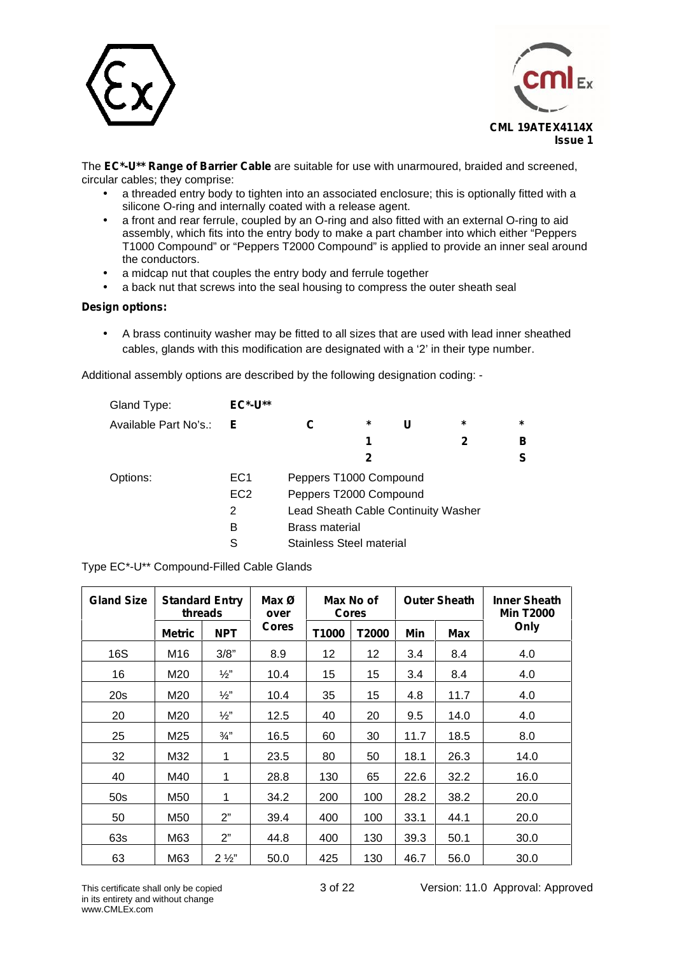



The **EC\*-U\*\* Range of Barrier Cable** are suitable for use with unarmoured, braided and screened, circular cables; they comprise:

- a threaded entry body to tighten into an associated enclosure; this is optionally fitted with a silicone O-ring and internally coated with a release agent.
- a front and rear ferrule, coupled by an O-ring and also fitted with an external O-ring to aid assembly, which fits into the entry body to make a part chamber into which either "Peppers T1000 Compound" or "Peppers T2000 Compound" is applied to provide an inner seal around the conductors.
- a midcap nut that couples the entry body and ferrule together
- a back nut that screws into the seal housing to compress the outer sheath seal

## **Design options:**

 A brass continuity washer may be fitted to all sizes that are used with lead inner sheathed cables, glands with this modification are designated with a '2' in their type number.

Additional assembly options are described by the following designation coding: -

| Gland Type:           | <b>EC*-U**</b>  |                                     |         |   |         |         |
|-----------------------|-----------------|-------------------------------------|---------|---|---------|---------|
| Available Part No's.: | Е               |                                     | $\star$ | U | $\star$ | $\star$ |
|                       |                 |                                     | 1       |   | 2       | в       |
|                       |                 |                                     | 2       |   |         | S       |
| Options:              | EC <sub>1</sub> | Peppers T1000 Compound              |         |   |         |         |
|                       | EC <sub>2</sub> | Peppers T2000 Compound              |         |   |         |         |
|                       | 2               | Lead Sheath Cable Continuity Washer |         |   |         |         |
|                       | в               | <b>Brass material</b>               |         |   |         |         |
|                       | S               | Stainless Steel material            |         |   |         |         |

Type EC\*-U\*\* Compound-Filled Cable Glands

| <b>Gland Size</b> | <b>Standard Entry</b><br>threads |                 | Max Ø<br>Max No of<br><b>Cores</b><br>over |       |       |      | <b>Outer Sheath</b> | <b>Inner Sheath</b><br><b>Min T2000</b> |  |
|-------------------|----------------------------------|-----------------|--------------------------------------------|-------|-------|------|---------------------|-----------------------------------------|--|
|                   | <b>Metric</b>                    | <b>NPT</b>      | <b>Cores</b>                               | T1000 | T2000 | Min  | <b>Max</b>          | Only                                    |  |
| 16S               | M16                              | 3/8"            | 8.9                                        | 12    | 12    | 3.4  | 8.4                 | 4.0                                     |  |
| 16                | M20                              | $\frac{1}{2}$ " | 10.4                                       | 15    | 15    | 3.4  | 8.4                 | 4.0                                     |  |
| 20s               | M20                              | $\frac{1}{2}$ " | 10.4                                       | 35    | 15    | 4.8  | 11.7                | 4.0                                     |  |
| 20                | M20                              | $\frac{1}{2}$ " | 12.5                                       | 40    | 20    | 9.5  | 14.0                | 4.0                                     |  |
| 25                | M25                              | $\frac{3}{4}$ " | 16.5                                       | 60    | 30    | 11.7 | 18.5                | 8.0                                     |  |
| 32                | M32                              | 1               | 23.5                                       | 80    | 50    | 18.1 | 26.3                | 14.0                                    |  |
| 40                | M40                              | 1               | 28.8                                       | 130   | 65    | 22.6 | 32.2                | 16.0                                    |  |
| 50s               | M50                              | 1               | 34.2                                       | 200   | 100   | 28.2 | 38.2                | 20.0                                    |  |
| 50                | M50                              | 2"              | 39.4                                       | 400   | 100   | 33.1 | 44.1                | 20.0                                    |  |
| 63s               | M63                              | 2"              | 44.8                                       | 400   | 130   | 39.3 | 50.1                | 30.0                                    |  |
| 63                | M63                              | $2\frac{1}{2}$  | 50.0                                       | 425   | 130   | 46.7 | 56.0                | 30.0                                    |  |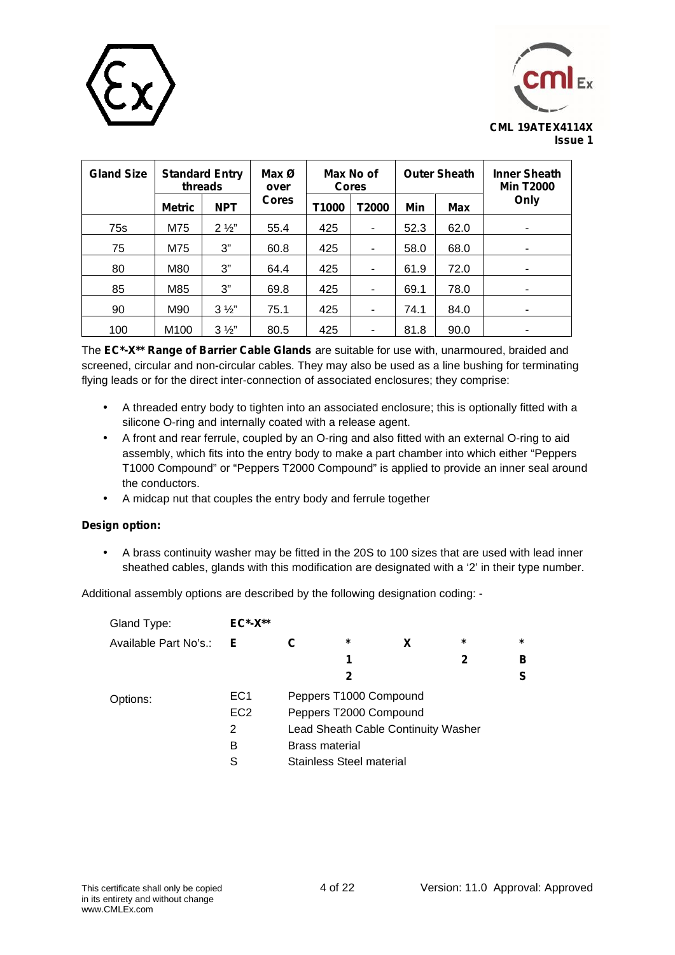



| <b>Gland Size</b> | <b>Standard Entry</b><br>threads |                | Max <sub>0</sub><br>over | Max No of<br><b>Cores</b> |                |                   | <b>Outer Sheath</b> | <b>Inner Sheath</b><br><b>Min T2000</b> |  |
|-------------------|----------------------------------|----------------|--------------------------|---------------------------|----------------|-------------------|---------------------|-----------------------------------------|--|
|                   | <b>Metric</b>                    | <b>NPT</b>     | <b>Cores</b>             | T1000                     | T2000          | Min<br><b>Max</b> |                     | Only                                    |  |
| 75s               | M75                              | $2\frac{1}{2}$ | 55.4                     | 425                       |                | 52.3              | 62.0                |                                         |  |
| 75                | M75                              | 3"             | 60.8                     | 425                       | ٠              | 58.0              | 68.0                |                                         |  |
| 80                | M80                              | 3"             | 64.4                     | 425                       | ٠              | 61.9              | 72.0                | ۰                                       |  |
| 85                | M85                              | 3"             | 69.8                     | 425                       | ٠              | 69.1              | 78.0                |                                         |  |
| 90                | M90                              | $3\frac{1}{2}$ | 75.1                     | 425                       | $\blacksquare$ | 74.1              | 84.0                | ٠                                       |  |
| 100               | M <sub>100</sub>                 | $3\frac{1}{2}$ | 80.5                     | 425                       | ۰              | 81.8              | 90.0                |                                         |  |

The **EC\*-X\*\* Range of Barrier Cable Glands** are suitable for use with, unarmoured, braided and screened, circular and non-circular cables. They may also be used as a line bushing for terminating flying leads or for the direct inter-connection of associated enclosures; they comprise:

- A threaded entry body to tighten into an associated enclosure; this is optionally fitted with a silicone O-ring and internally coated with a release agent.
- A front and rear ferrule, coupled by an O-ring and also fitted with an external O-ring to aid assembly, which fits into the entry body to make a part chamber into which either "Peppers T1000 Compound" or "Peppers T2000 Compound" is applied to provide an inner seal around the conductors.
- A midcap nut that couples the entry body and ferrule together

# **Design option:**

 A brass continuity washer may be fitted in the 20S to 100 sizes that are used with lead inner sheathed cables, glands with this modification are designated with a '2' in their type number.

Additional assembly options are described by the following designation coding: -

| Gland Type:           | $EC^*$ - $X^{**}$ |   |                          |                                     |        |         |  |
|-----------------------|-------------------|---|--------------------------|-------------------------------------|--------|---------|--|
| Available Part No's.: | Е                 | С | *                        | X                                   | $\ast$ | $\star$ |  |
|                       |                   |   | 1                        |                                     | 2      | в       |  |
|                       |                   |   | 2                        |                                     |        | S       |  |
| Options:              | EC <sub>1</sub>   |   | Peppers T1000 Compound   |                                     |        |         |  |
|                       | EC <sub>2</sub>   |   | Peppers T2000 Compound   |                                     |        |         |  |
|                       | 2                 |   |                          | Lead Sheath Cable Continuity Washer |        |         |  |
|                       | в                 |   | <b>Brass material</b>    |                                     |        |         |  |
|                       | S                 |   | Stainless Steel material |                                     |        |         |  |
|                       |                   |   |                          |                                     |        |         |  |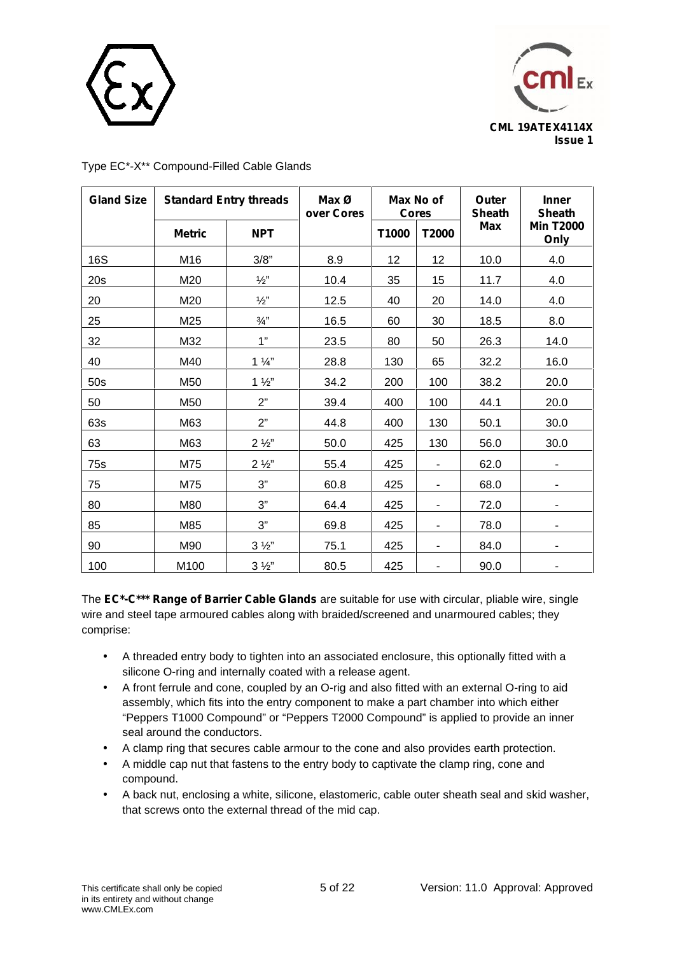



| <b>Gland Size</b> |               | <b>Standard Entry threads</b> | Max <sub>0</sub><br>over Cores |       | Max No of<br><b>Cores</b> | Outer<br><b>Sheath</b> | <b>Inner</b><br><b>Sheath</b> |
|-------------------|---------------|-------------------------------|--------------------------------|-------|---------------------------|------------------------|-------------------------------|
|                   | <b>Metric</b> | <b>NPT</b>                    |                                | T1000 | T2000                     | <b>Max</b>             | <b>Min T2000</b><br>Only      |
| <b>16S</b>        | M16           | 3/8"                          | 8.9                            | 12    | 12                        | 10.0                   | 4.0                           |
| 20s               | M20           | $\frac{1}{2}$ "               | 10.4                           | 35    | 15                        | 11.7                   | 4.0                           |
| 20                | M20           | $\frac{1}{2}$ "               | 12.5                           | 40    | 20                        | 14.0                   | 4.0                           |
| 25                | M25           | $\frac{3}{4}$ "               | 16.5                           | 60    | 30                        | 18.5                   | 8.0                           |
| 32                | M32           | 1"                            | 23.5                           | 80    | 50                        | 26.3                   | 14.0                          |
| 40                | M40           | $1\frac{1}{4}$                | 28.8                           | 130   | 65                        | 32.2                   | 16.0                          |
| 50s               | M50           | $1\frac{1}{2}$                | 34.2                           | 200   | 100                       | 38.2                   | 20.0                          |
| 50                | M50           | 2"                            | 39.4                           | 400   | 100                       | 44.1                   | 20.0                          |
| 63s               | M63           | 2"                            | 44.8                           | 400   | 130                       | 50.1                   | 30.0                          |
| 63                | M63           | $2\frac{1}{2}$                | 50.0                           | 425   | 130                       | 56.0                   | 30.0                          |
| 75s               | M75           | $2\frac{1}{2}$                | 55.4                           | 425   | -                         | 62.0                   |                               |
| 75                | M75           | 3"                            | 60.8                           | 425   | $\blacksquare$            | 68.0                   | -                             |
| 80                | M80           | 3"                            | 64.4                           | 425   | $\blacksquare$            | 72.0                   | -                             |
| 85                | M85           | 3"                            | 69.8                           | 425   | -                         | 78.0                   |                               |
| 90                | M90           | $3\frac{1}{2}$                | 75.1                           | 425   | $\overline{\phantom{a}}$  | 84.0                   |                               |
| 100               | M100          | $3\frac{1}{2}$                | 80.5                           | 425   |                           | 90.0                   |                               |

Type EC\*-X\*\* Compound-Filled Cable Glands

The **EC\*-C\*\*\* Range of Barrier Cable Glands** are suitable for use with circular, pliable wire, single wire and steel tape armoured cables along with braided/screened and unarmoured cables; they comprise:

- A threaded entry body to tighten into an associated enclosure, this optionally fitted with a silicone O-ring and internally coated with a release agent.
- A front ferrule and cone, coupled by an O-rig and also fitted with an external O-ring to aid assembly, which fits into the entry component to make a part chamber into which either "Peppers T1000 Compound" or "Peppers T2000 Compound" is applied to provide an inner seal around the conductors.
- A clamp ring that secures cable armour to the cone and also provides earth protection.
- A middle cap nut that fastens to the entry body to captivate the clamp ring, cone and compound.
- A back nut, enclosing a white, silicone, elastomeric, cable outer sheath seal and skid washer, that screws onto the external thread of the mid cap.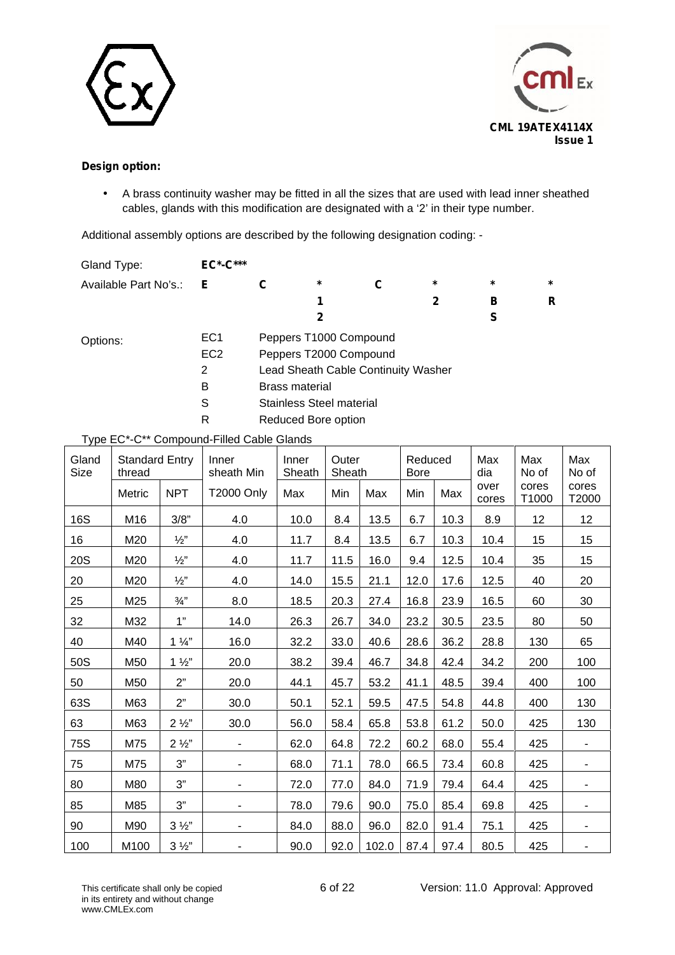



# **Design option:**

 A brass continuity washer may be fitted in all the sizes that are used with lead inner sheathed cables, glands with this modification are designated with a '2' in their type number.

Additional assembly options are described by the following designation coding: -

| Gland Type:           | <b>EC*-C***</b> |                       |                                 |                                     |         |         |         |
|-----------------------|-----------------|-----------------------|---------------------------------|-------------------------------------|---------|---------|---------|
| Available Part No's.: | Е               | C                     | $\star$                         |                                     | $\star$ | $\star$ | $\star$ |
|                       |                 |                       |                                 |                                     | 2       | в       | R       |
|                       |                 |                       | 2                               |                                     |         | S       |         |
| Options:              | EC <sub>1</sub> |                       | Peppers T1000 Compound          |                                     |         |         |         |
|                       | EC <sub>2</sub> |                       | Peppers T2000 Compound          |                                     |         |         |         |
|                       | 2               |                       |                                 | Lead Sheath Cable Continuity Washer |         |         |         |
|                       | в               | <b>Brass material</b> |                                 |                                     |         |         |         |
|                       | S               |                       | <b>Stainless Steel material</b> |                                     |         |         |         |
|                       | R               |                       | Reduced Bore option             |                                     |         |         |         |

Type EC\*-C\*\* Compound-Filled Cable Glands

| Gland<br>Size | <b>Standard Entry</b><br>thread |                 | Inner<br>sheath Min      | Inner<br>Sheath |      | Outer<br>Sheath<br><b>Bore</b> |      | Reduced | Max<br>dia    | Max<br>No of   | Max<br>No of    |
|---------------|---------------------------------|-----------------|--------------------------|-----------------|------|--------------------------------|------|---------|---------------|----------------|-----------------|
|               | Metric                          | <b>NPT</b>      | <b>T2000 Only</b>        | Max             | Min  | Max                            | Min  | Max     | over<br>cores | cores<br>T1000 | cores<br>T2000  |
| <b>16S</b>    | M16                             | 3/8"            | 4.0                      | 10.0            | 8.4  | 13.5                           | 6.7  | 10.3    | 8.9           | 12             | 12 <sub>2</sub> |
| 16            | M20                             | $\frac{1}{2}$   | 4.0                      | 11.7            | 8.4  | 13.5                           | 6.7  | 10.3    | 10.4          | 15             | 15              |
| <b>20S</b>    | M20                             | $\frac{1}{2}$   | 4.0                      | 11.7            | 11.5 | 16.0                           | 9.4  | 12.5    | 10.4          | 35             | 15              |
| 20            | M20                             | $\frac{1}{2}$ " | 4.0                      | 14.0            | 15.5 | 21.1                           | 12.0 | 17.6    | 12.5          | 40             | 20              |
| 25            | M25                             | $\frac{3}{4}$   | 8.0                      | 18.5            | 20.3 | 27.4                           | 16.8 | 23.9    | 16.5          | 60             | 30              |
| 32            | M32                             | 1"              | 14.0                     | 26.3            | 26.7 | 34.0                           | 23.2 | 30.5    | 23.5          | 80             | 50              |
| 40            | M40                             | $1\frac{1}{4}$  | 16.0                     | 32.2            | 33.0 | 40.6                           | 28.6 | 36.2    | 28.8          | 130            | 65              |
| 50S           | M50                             | $1\frac{1}{2}$  | 20.0                     | 38.2            | 39.4 | 46.7                           | 34.8 | 42.4    | 34.2          | 200            | 100             |
| 50            | M50                             | 2"              | 20.0                     | 44.1            | 45.7 | 53.2                           | 41.1 | 48.5    | 39.4          | 400            | 100             |
| 63S           | M63                             | 2"              | 30.0                     | 50.1            | 52.1 | 59.5                           | 47.5 | 54.8    | 44.8          | 400            | 130             |
| 63            | M63                             | $2\frac{1}{2}$  | 30.0                     | 56.0            | 58.4 | 65.8                           | 53.8 | 61.2    | 50.0          | 425            | 130             |
| 75S           | M75                             | $2\frac{1}{2}$  | $\blacksquare$           | 62.0            | 64.8 | 72.2                           | 60.2 | 68.0    | 55.4          | 425            | $\blacksquare$  |
| 75            | M75                             | 3"              | $\blacksquare$           | 68.0            | 71.1 | 78.0                           | 66.5 | 73.4    | 60.8          | 425            | $\blacksquare$  |
| 80            | M80                             | 3"              | $\blacksquare$           | 72.0            | 77.0 | 84.0                           | 71.9 | 79.4    | 64.4          | 425            | $\blacksquare$  |
| 85            | M85                             | 3"              | $\overline{\phantom{a}}$ | 78.0            | 79.6 | 90.0                           | 75.0 | 85.4    | 69.8          | 425            |                 |
| 90            | M90                             | $3\frac{1}{2}$  | $\blacksquare$           | 84.0            | 88.0 | 96.0                           | 82.0 | 91.4    | 75.1          | 425            | ۰.              |
| 100           | M100                            | $3\frac{1}{2}$  |                          | 90.0            | 92.0 | 102.0                          | 87.4 | 97.4    | 80.5          | 425            | $\blacksquare$  |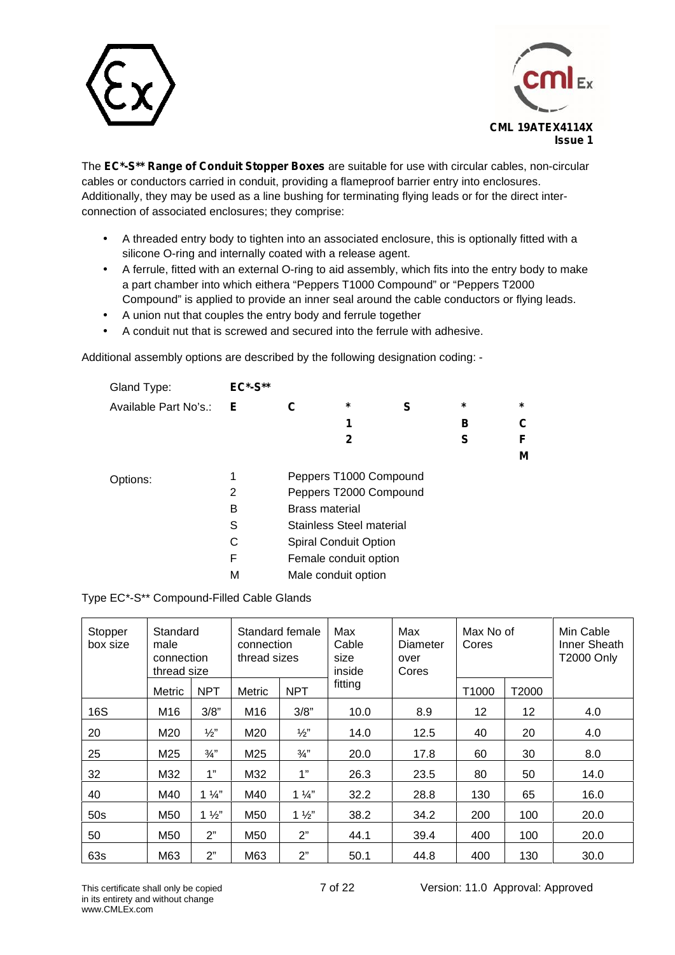



The **EC\*-S\*\* Range of Conduit Stopper Boxes** are suitable for use with circular cables, non-circular cables or conductors carried in conduit, providing a flameproof barrier entry into enclosures. Additionally, they may be used as a line bushing for terminating flying leads or for the direct inter connection of associated enclosures; they comprise:

- A threaded entry body to tighten into an associated enclosure, this is optionally fitted with a silicone O-ring and internally coated with a release agent.
- A ferrule, fitted with an external O-ring to aid assembly, which fits into the entry body to make a part chamber into which eithera "Peppers T1000 Compound" or "Peppers T2000 Compound" is applied to provide an inner seal around the cable conductors or flying leads.
- A union nut that couples the entry body and ferrule together
- A conduit nut that is screwed and secured into the ferrule with adhesive.

Additional assembly options are described by the following designation coding: -

| Gland Type:           | <b>EC*-S**</b> |                       |                                 |   |         |         |
|-----------------------|----------------|-----------------------|---------------------------------|---|---------|---------|
| Available Part No's.: | E.             | С                     | $\star$                         | S | $\star$ | $\star$ |
|                       |                |                       | 1                               |   | в       | C       |
|                       |                |                       | 2                               |   | S       | F       |
|                       |                |                       |                                 |   |         | M       |
| Options:              |                |                       | Peppers T1000 Compound          |   |         |         |
|                       | 2              |                       | Peppers T2000 Compound          |   |         |         |
|                       | в              | <b>Brass material</b> |                                 |   |         |         |
|                       | S              |                       | <b>Stainless Steel material</b> |   |         |         |
|                       | С              |                       | <b>Spiral Conduit Option</b>    |   |         |         |
|                       | F              |                       | Female conduit option           |   |         |         |
|                       | M              | Male conduit option   |                                 |   |         |         |

Type EC\*-S\*\* Compound-Filled Cable Glands

| Stopper<br>box size | male   | Standard<br>Standard female<br>connection<br>thread sizes<br>connection<br>thread size |                 | Max<br>Cable<br>size<br>inside | Max<br><b>Diameter</b><br>over<br>Cores | Max No of<br>Cores |       | Min Cable<br>Inner Sheath<br><b>T2000 Only</b> |      |
|---------------------|--------|----------------------------------------------------------------------------------------|-----------------|--------------------------------|-----------------------------------------|--------------------|-------|------------------------------------------------|------|
|                     | Metric | <b>NPT</b>                                                                             | Metric          | <b>NPT</b>                     | fitting                                 |                    | T1000 | T2000                                          |      |
| 16S                 | M16    | 3/8"                                                                                   | M <sub>16</sub> | 3/8"                           | 10.0                                    | 8.9                | 12    | 12                                             | 4.0  |
| 20                  | M20    | $\frac{1}{2}$                                                                          | M20             | $\frac{1}{2}$                  | 14.0                                    | 12.5               | 40    | 20                                             | 4.0  |
| 25                  | M25    | $\frac{3}{4}$ "                                                                        | M25             | $\frac{3}{4}$                  | 20.0                                    | 17.8               | 60    | 30                                             | 8.0  |
| 32                  | M32    | 1"                                                                                     | M32             | 1"                             | 26.3                                    | 23.5               | 80    | 50                                             | 14.0 |
| 40                  | M40    | $1\frac{1}{4}$                                                                         | M40             | $1\frac{1}{4}$                 | 32.2                                    | 28.8               | 130   | 65                                             | 16.0 |
| 50s                 | M50    | $1\frac{1}{2}$                                                                         | M50             | $1\frac{1}{2}$                 | 38.2                                    | 34.2               | 200   | 100                                            | 20.0 |
| 50                  | M50    | 2"                                                                                     | M50             | 2"                             | 44.1                                    | 39.4               | 400   | 100                                            | 20.0 |
| 63s                 | M63    | 2"                                                                                     | M63             | 2"                             | 50.1                                    | 44.8               | 400   | 130                                            | 30.0 |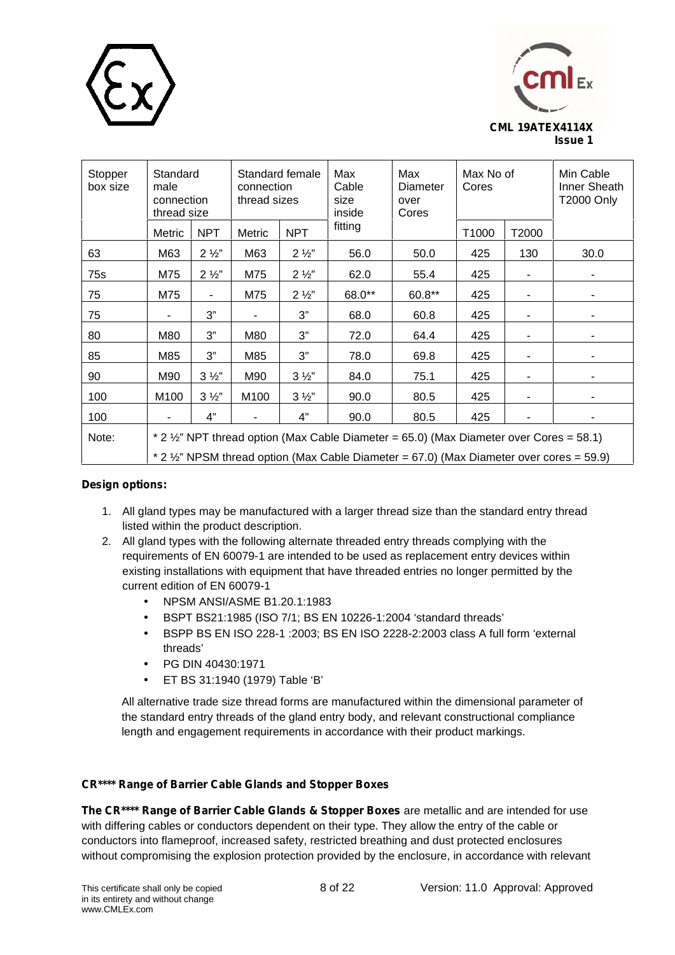



| Stopper<br>box size | Standard<br>male<br>connection<br>thread size                                                                                                                                       |                | connection<br>thread sizes | Standard female | Max<br>Max<br>Cable<br>Diameter<br>size<br>over<br>inside<br>Cores |        | Max No of<br>Cores |       | Min Cable<br>Inner Sheath<br><b>T2000 Only</b> |  |  |
|---------------------|-------------------------------------------------------------------------------------------------------------------------------------------------------------------------------------|----------------|----------------------------|-----------------|--------------------------------------------------------------------|--------|--------------------|-------|------------------------------------------------|--|--|
|                     | Metric                                                                                                                                                                              | <b>NPT</b>     | Metric                     | <b>NPT</b>      | fitting                                                            |        | T1000              | T2000 |                                                |  |  |
| 63                  | M63                                                                                                                                                                                 | $2\frac{1}{2}$ | M63                        | $2\frac{1}{2}$  | 56.0                                                               | 50.0   | 425                | 130   | 30.0                                           |  |  |
| 75s                 | M75                                                                                                                                                                                 | $2\frac{1}{2}$ | M75                        | $2\frac{1}{2}$  | 62.0                                                               | 55.4   | 425                | ٠     |                                                |  |  |
| 75                  | M75                                                                                                                                                                                 | $\blacksquare$ | M75                        | $2\frac{1}{2}$  | 68.0**                                                             | 60.8** | 425                |       |                                                |  |  |
| 75                  | -                                                                                                                                                                                   | 3"             | $\blacksquare$             | 3"              | 68.0                                                               | 60.8   | 425                | ٠     | ۰                                              |  |  |
| 80                  | M80                                                                                                                                                                                 | 3"             | M80                        | 3"              | 72.0                                                               | 64.4   | 425                |       |                                                |  |  |
| 85                  | M85                                                                                                                                                                                 | 3"             | M85                        | 3"              | 78.0                                                               | 69.8   | 425                | ٠     | ۰                                              |  |  |
| 90                  | M90                                                                                                                                                                                 | $3\frac{1}{2}$ | M90                        | $3\frac{1}{2}$  | 84.0                                                               | 75.1   | 425                |       |                                                |  |  |
| 100                 | M <sub>100</sub>                                                                                                                                                                    | $3\frac{1}{2}$ | M100                       | $3\frac{1}{2}$  | 90.0                                                               | 80.5   | 425                |       | ۰                                              |  |  |
| 100                 |                                                                                                                                                                                     | 4"             |                            | 4"              | 90.0                                                               | 80.5   | 425                |       | ۰                                              |  |  |
| Note:               | * 2 1/2" NPT thread option (Max Cable Diameter = 65.0) (Max Diameter over Cores = 58.1)<br>* 2 1/2" NPSM thread option (Max Cable Diameter = 67.0) (Max Diameter over cores = 59.9) |                |                            |                 |                                                                    |        |                    |       |                                                |  |  |

# **Design options:**

- 1. All gland types may be manufactured with a larger thread size than the standard entry thread listed within the product description.
- 2. All gland types with the following alternate threaded entry threads complying with the requirements of EN 60079-1 are intended to be used as replacement entry devices within existing installations with equipment that have threaded entries no longer permitted by the current edition of EN 60079-1
	- NPSM ANSI/ASME B1.20.1:1983
	- BSPT BS21:1985 (ISO 7/1; BS EN 10226-1:2004 'standard threads'
	- BSPP BS EN ISO 228-1 :2003; BS EN ISO 2228-2:2003 class A full form 'external threads'
	- PG DIN 40430:1971
	- ET BS 31:1940 (1979) Table 'B'

All alternative trade size thread forms are manufactured within the dimensional parameter of the standard entry threads of the gland entry body, and relevant constructional compliance length and engagement requirements in accordance with their product markings.

# **CR\*\*\*\* Range of Barrier Cable Glands and Stopper Boxes**

**The CR\*\*\*\* Range of Barrier Cable Glands & Stopper Boxes** are metallic and are intended for use with differing cables or conductors dependent on their type. They allow the entry of the cable or conductors into flameproof, increased safety, restricted breathing and dust protected enclosures without compromising the explosion protection provided by the enclosure, in accordance with relevant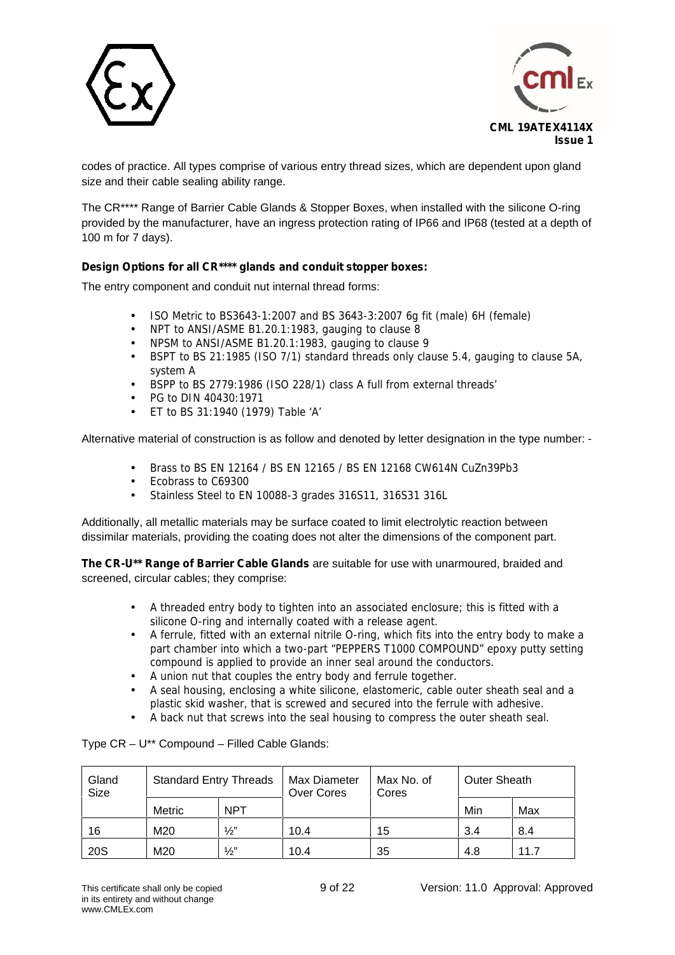



codes of practice. All types comprise of various entry thread sizes, which are dependent upon gland size and their cable sealing ability range.

The CR\*\*\*\* Range of Barrier Cable Glands & Stopper Boxes, when installed with the silicone O-ring provided by the manufacturer, have an ingress protection rating of IP66 and IP68 (tested at a depth of 100 m for 7 days).

# **Design Options for all CR\*\*\*\* glands and conduit stopper boxes:**

The entry component and conduit nut internal thread forms:

- ISO Metric to BS3643-1:2007 and BS 3643-3:2007 6g fit (male) 6H (female)
- NPT to ANSI/ASME B1.20.1:1983, gauging to clause 8
- NPSM to ANSI/ASME B1.20.1:1983, gauging to clause 9
- BSPT to BS 21:1985 (ISO 7/1) standard threads only clause 5.4, gauging to clause 5A, system A
- BSPP to BS 2779:1986 (ISO 228/1) class A full from external threads'
- PG to DIN 40430:1971
- ET to BS 31:1940 (1979) Table 'A'

Alternative material of construction is as follow and denoted by letter designation in the type number: -

Brass to BS EN 12164 / BS EN 12165 / BS EN 12168 CW614N CuZn39Pb3

- Ecobrass to C69300
- Stainless Steel to EN 10088-3 grades 316S11, 316S31 316L

Additionally, all metallic materials may be surface coated to limit electrolytic reaction between dissimilar materials, providing the coating does not alter the dimensions of the component part.

**The CR-U\*\* Range of Barrier Cable Glands** are suitable for use with unarmoured, braided and screened, circular cables; they comprise:

- A threaded entry body to tighten into an associated enclosure; this is fitted with a silicone O-ring and internally coated with a release agent.
- A ferrule, fitted with an external nitrile O-ring, which fits into the entry body to make a part chamber into which a two-part "PEPPERS T1000 COMPOUND" epoxy putty setting compound is applied to provide an inner seal around the conductors.
- A union nut that couples the entry body and ferrule together.
- A seal housing, enclosing a white silicone, elastomeric, cable outer sheath seal and a plastic skid washer, that is screwed and secured into the ferrule with adhesive.
- A back nut that screws into the seal housing to compress the outer sheath seal.

Type CR – U\*\* Compound – Filled Cable Glands:

| Gland<br>Size | <b>Standard Entry Threads</b> |  | Max Diameter<br>Over Cores | Max No. of<br>Cores | <b>Outer Sheath</b> |      |
|---------------|-------------------------------|--|----------------------------|---------------------|---------------------|------|
|               | <b>NPT</b><br>Metric          |  |                            |                     | Min                 | Max  |
| 16            | $\frac{1}{2}$<br>M20          |  | 10.4                       | 15                  | 3.4                 | 8.4  |
| <b>20S</b>    | $\frac{1}{2}$<br>M20          |  | 10.4                       | 35                  | 4.8                 | 11.7 |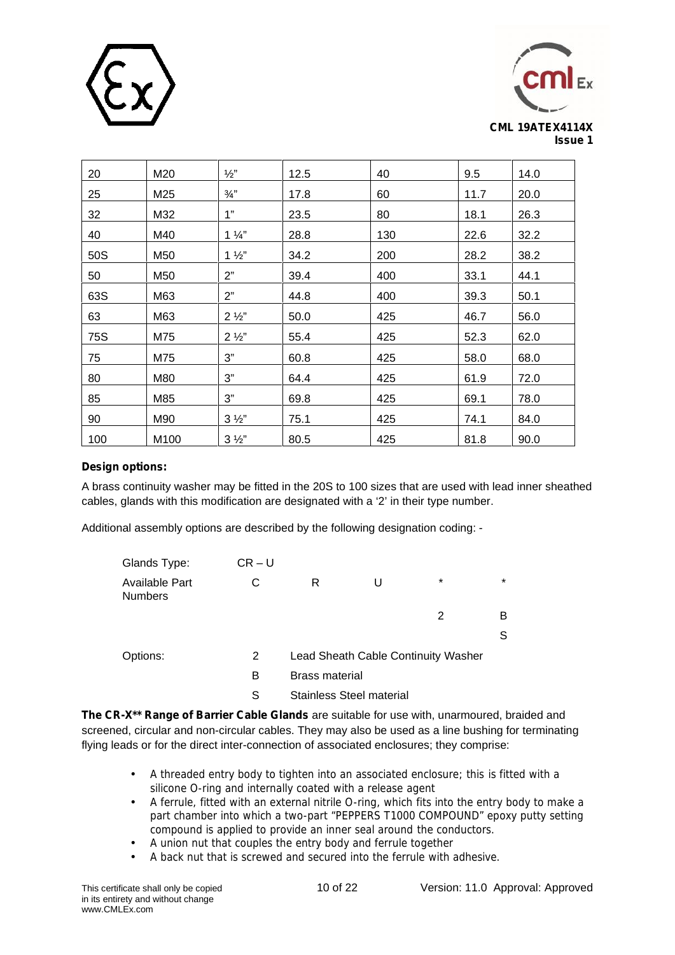



| 20  | M20  | $\frac{1}{2}$  | 12.5 | 40  | 9.5  | 14.0 |
|-----|------|----------------|------|-----|------|------|
| 25  | M25  | $\frac{3}{4}$  | 17.8 | 60  | 11.7 | 20.0 |
| 32  | M32  | 1"             | 23.5 | 80  | 18.1 | 26.3 |
| 40  | M40  | $1\frac{1}{4}$ | 28.8 | 130 | 22.6 | 32.2 |
| 50S | M50  | $1\frac{1}{2}$ | 34.2 | 200 | 28.2 | 38.2 |
| 50  | M50  | 2"             | 39.4 | 400 | 33.1 | 44.1 |
| 63S | M63  | 2"             | 44.8 | 400 | 39.3 | 50.1 |
| 63  | M63  | $2\frac{1}{2}$ | 50.0 | 425 | 46.7 | 56.0 |
| 75S | M75  | $2\frac{1}{2}$ | 55.4 | 425 | 52.3 | 62.0 |
| 75  | M75  | 3"             | 60.8 | 425 | 58.0 | 68.0 |
| 80  | M80  | 3"             | 64.4 | 425 | 61.9 | 72.0 |
| 85  | M85  | 3"             | 69.8 | 425 | 69.1 | 78.0 |
| 90  | M90  | $3\frac{1}{2}$ | 75.1 | 425 | 74.1 | 84.0 |
| 100 | M100 | $3\frac{1}{2}$ | 80.5 | 425 | 81.8 | 90.0 |

# **Design options:**

A brass continuity washer may be fitted in the 20S to 100 sizes that are used with lead inner sheathed cables, glands with this modification are designated with a '2' in their type number.

Additional assembly options are described by the following designation coding: -

| Glands Type:                     | $CR-U$ |                                     |         |         |
|----------------------------------|--------|-------------------------------------|---------|---------|
| Available Part<br><b>Numbers</b> | C      | R                                   | $\star$ | $\star$ |
|                                  |        |                                     | 2       | в       |
|                                  |        |                                     |         | S       |
| Options:                         | 2      | Lead Sheath Cable Continuity Washer |         |         |
|                                  | в      | <b>Brass material</b>               |         |         |
|                                  | S      | <b>Stainless Steel material</b>     |         |         |

**The CR-X\*\* Range of Barrier Cable Glands** are suitable for use with, unarmoured, braided and screened, circular and non-circular cables. They may also be used as a line bushing for terminating flying leads or for the direct inter-connection of associated enclosures; they comprise:

- A threaded entry body to tighten into an associated enclosure; this is fitted with a silicone O-ring and internally coated with a release agent
- A ferrule, fitted with an external nitrile O-ring, which fits into the entry body to make a part chamber into which a two-part "PEPPERS T1000 COMPOUND" epoxy putty setting compound is applied to provide an inner seal around the conductors.
- A union nut that couples the entry body and ferrule together<br>A back nut that is screwed and secured into the ferrule with a
- A back nut that is screwed and secured into the ferrule with adhesive.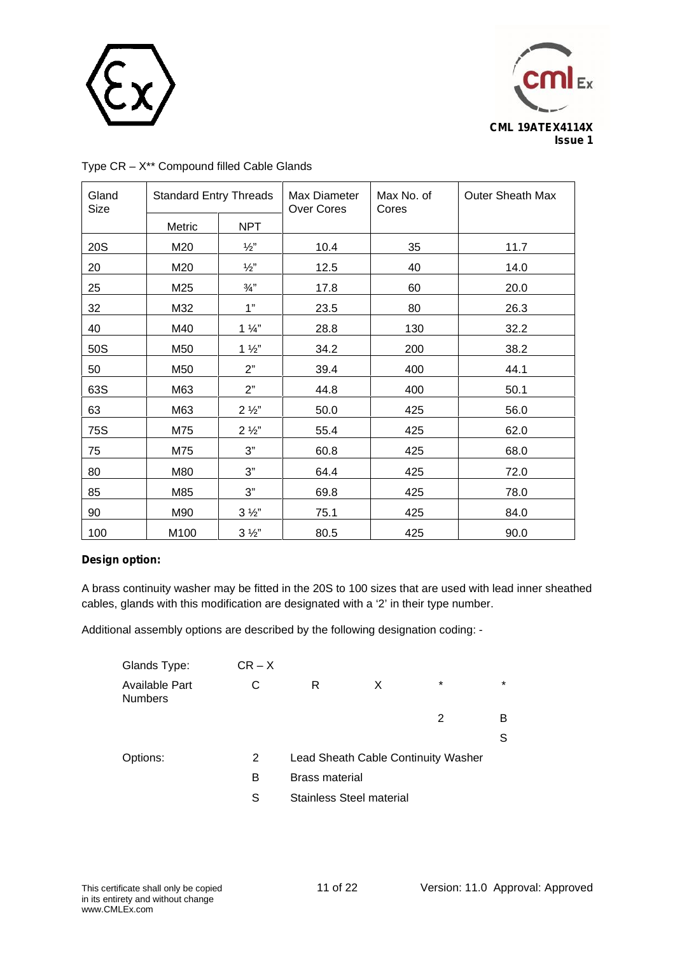



| Gland<br>Size | <b>Standard Entry Threads</b> |                 | Max Diameter<br><b>Over Cores</b> | Max No. of<br>Cores | <b>Outer Sheath Max</b> |
|---------------|-------------------------------|-----------------|-----------------------------------|---------------------|-------------------------|
|               | Metric                        | <b>NPT</b>      |                                   |                     |                         |
| 20S           | M20                           | $\frac{1}{2}$   | 10.4                              | 35                  | 11.7                    |
| 20            | M20                           | $\frac{1}{2}$ " | 12.5                              | 40                  | 14.0                    |
| 25            | M25                           | $\frac{3}{4}$ " | 17.8                              | 60                  | 20.0                    |
| 32            | M32                           | 1"              | 23.5                              | 80                  | 26.3                    |
| 40            | M40                           | $1\frac{1}{4}$  | 28.8                              | 130                 | 32.2                    |
| 50S           | M50                           | $1\frac{1}{2}$  | 34.2                              | 200                 | 38.2                    |
| 50            | M50                           | 2"              | 39.4                              | 400                 | 44.1                    |
| 63S           | M63                           | 2"              | 44.8                              | 400                 | 50.1                    |
| 63            | M63                           | $2\frac{1}{2}$  | 50.0                              | 425                 | 56.0                    |
| <b>75S</b>    | M75                           | $2\frac{1}{2}$  | 55.4                              | 425                 | 62.0                    |
| 75            | M75                           | 3"              | 60.8                              | 425                 | 68.0                    |
| 80            | M80                           | 3"              | 64.4                              | 425                 | 72.0                    |
| 85            | M85                           | 3"              | 69.8                              | 425                 | 78.0                    |
| 90            | M90                           | $3\frac{1}{2}$  | 75.1                              | 425                 | 84.0                    |
| 100           | M100                          | $3\frac{1}{2}$  | 80.5                              | 425                 | 90.0                    |

# Type CR – X\*\* Compound filled Cable Glands

## **Design option:**

A brass continuity washer may be fitted in the 20S to 100 sizes that are used with lead inner sheathed cables, glands with this modification are designated with a '2' in their type number.

Additional assembly options are described by the following designation coding: -

| Glands Type:                     | $CR - X$ |                       |                                     |        |         |  |
|----------------------------------|----------|-----------------------|-------------------------------------|--------|---------|--|
| Available Part<br><b>Numbers</b> | С        | R                     | X                                   | $\ast$ | $\star$ |  |
|                                  |          |                       |                                     | 2      | в       |  |
|                                  |          |                       |                                     |        | S       |  |
| Options:                         | 2        |                       | Lead Sheath Cable Continuity Washer |        |         |  |
|                                  | B        | <b>Brass material</b> |                                     |        |         |  |
|                                  | S        |                       | <b>Stainless Steel material</b>     |        |         |  |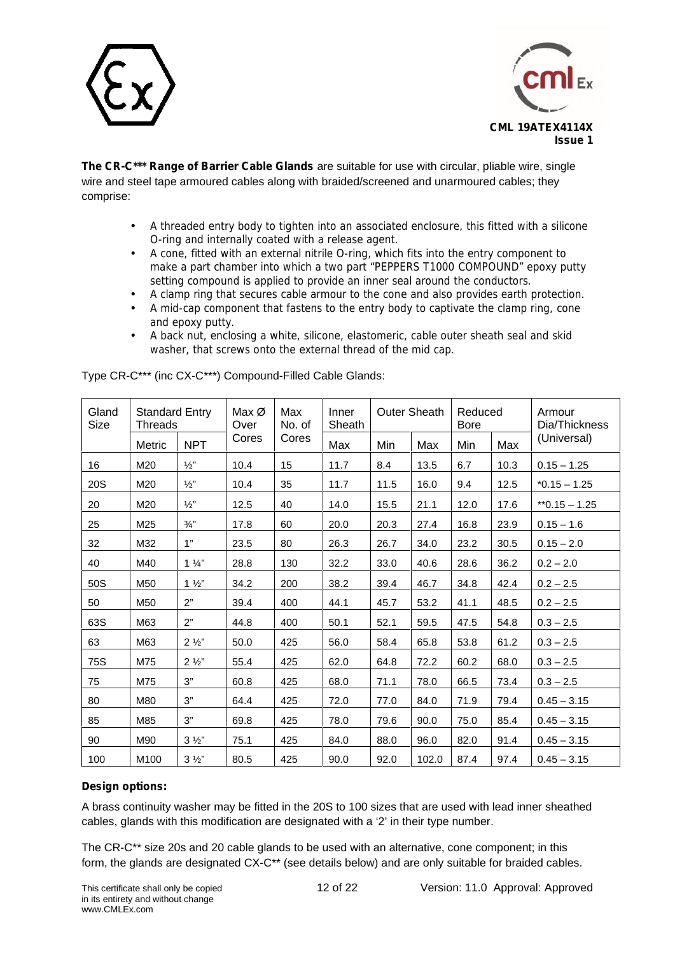



**The CR-C\*\*\* Range of Barrier Cable Glands** are suitable for use with circular, pliable wire, single wire and steel tape armoured cables along with braided/screened and unarmoured cables; they comprise:

- A threaded entry body to tighten into an associated enclosure, this fitted with a silicone O-ring and internally coated with a release agent.
- A cone, fitted with an external nitrile O-ring, which fits into the entry component to make a part chamber into which a two part "PEPPERS T1000 COMPOUND" epoxy putty setting compound is applied to provide an inner seal around the conductors.
- A clamp ring that secures cable armour to the cone and also provides earth protection.
- A mid-cap component that fastens to the entry body to captivate the clamp ring, cone and epoxy putty.
- A back nut, enclosing a white, silicone, elastomeric, cable outer sheath seal and skid washer, that screws onto the external thread of the mid cap.

| Gland<br>Size | <b>Threads</b> | <b>Standard Entry</b> | Max Ø<br>Over | Max<br>No. of | Inner<br>Sheath | <b>Outer Sheath</b> |       | Reduced<br><b>Bore</b> |      | Armour<br>Dia/Thickness |
|---------------|----------------|-----------------------|---------------|---------------|-----------------|---------------------|-------|------------------------|------|-------------------------|
|               | Metric         | <b>NPT</b>            | Cores         | Cores         | Max<br>Min      |                     | Max   | Min                    | Max  | (Universal)             |
| 16            | M20            | $\frac{1}{2}$         | 10.4          | 15            | 11.7            | 8.4                 | 13.5  | 6.7                    | 10.3 | $0.15 - 1.25$           |
| 20S           | M20            | $\frac{1}{2}$ "       | 10.4          | 35            | 11.7            | 11.5                | 16.0  | 9.4                    | 12.5 | $*0.15 - 1.25$          |
| 20            | M20            | $\frac{1}{2}$         | 12.5          | 40            | 14.0            | 15.5                | 21.1  | 12.0                   | 17.6 | $*$ $0.15 - 1.25$       |
| 25            | M25            | $\frac{3}{4}$ "       | 17.8          | 60            | 20.0            | 20.3                | 27.4  | 16.8                   | 23.9 | $0.15 - 1.6$            |
| 32            | M32            | 1"                    | 23.5          | 80            | 26.3            | 26.7                | 34.0  | 23.2                   | 30.5 | $0.15 - 2.0$            |
| 40            | M40            | $1\frac{1}{4}$        | 28.8          | 130           | 32.2            | 33.0                | 40.6  | 28.6                   | 36.2 | $0.2 - 2.0$             |
| 50S           | M50            | $1\frac{1}{2}$        | 34.2          | 200           | 38.2            | 39.4                | 46.7  | 34.8                   | 42.4 | $0.2 - 2.5$             |
| 50            | M50            | 2"                    | 39.4          | 400           | 44.1            | 45.7                | 53.2  | 41.1                   | 48.5 | $0.2 - 2.5$             |
| 63S           | M63            | 2"                    | 44.8          | 400           | 50.1            | 52.1                | 59.5  | 47.5                   | 54.8 | $0.3 - 2.5$             |
| 63            | M63            | $2\frac{1}{2}$        | 50.0          | 425           | 56.0            | 58.4                | 65.8  | 53.8                   | 61.2 | $0.3 - 2.5$             |
| 75S           | M75            | $2\frac{1}{2}$        | 55.4          | 425           | 62.0            | 64.8                | 72.2  | 60.2                   | 68.0 | $0.3 - 2.5$             |
| 75            | M75            | 3"                    | 60.8          | 425           | 68.0            | 71.1                | 78.0  | 66.5                   | 73.4 | $0.3 - 2.5$             |
| 80            | M80            | 3"                    | 64.4          | 425           | 72.0            | 77.0                | 84.0  | 71.9                   | 79.4 | $0.45 - 3.15$           |
| 85            | M85            | 3"                    | 69.8          | 425           | 78.0            | 79.6                | 90.0  | 75.0                   | 85.4 | $0.45 - 3.15$           |
| 90            | M90            | $3\frac{1}{2}$        | 75.1          | 425           | 84.0            | 88.0                | 96.0  | 82.0                   | 91.4 | $0.45 - 3.15$           |
| 100           | M100           | $3\frac{1}{2}$        | 80.5          | 425           | 90.0            | 92.0                | 102.0 | 87.4                   | 97.4 | $0.45 - 3.15$           |

Type CR-C\*\*\* (inc CX-C\*\*\*) Compound-Filled Cable Glands:

# **Design options:**

A brass continuity washer may be fitted in the 20S to 100 sizes that are used with lead inner sheathed cables, glands with this modification are designated with a '2' in their type number.

The CR-C\*\* size 20s and 20 cable glands to be used with an alternative, cone component; in this form, the glands are designated CX-C\*\* (see details below) and are only suitable for braided cables.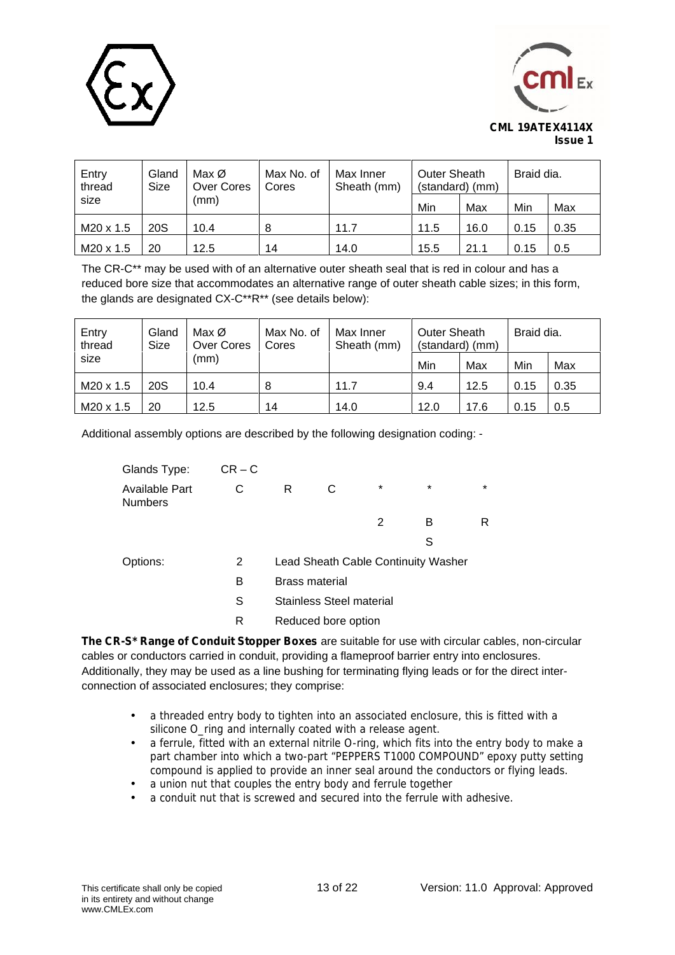



| Entry<br>thread | Gland<br>Size | Max Ø<br>Over Cores | Max No. of<br>Cores | Max Inner<br>Sheath (mm) | Outer Sheath<br>(standard) (mm) |      | Braid dia. |      |
|-----------------|---------------|---------------------|---------------------|--------------------------|---------------------------------|------|------------|------|
| size            |               | (mm)                |                     |                          | Min                             | Max  | Min        | Max  |
| M20 x 1.5       | 20S           | 10.4                | 8                   | 11.7                     | 11.5                            | 16.0 | 0.15       | 0.35 |
| M20 x 1.5       | 20            | 12.5                | 14                  | 14.0                     | 15.5                            | 21.1 | 0.15       | 0.5  |

The CR-C\*\* may be used with of an alternative outer sheath seal that is red in colour and has a reduced bore size that accommodates an alternative range of outer sheath cable sizes; in this form, the glands are designated CX-C\*\*R\*\* (see details below):

| Entry<br>thread | Gland<br>Size | Max Ø<br>Over Cores | Max No. of<br>Cores | Max Inner<br>Sheath (mm) | Outer Sheath<br>(standard) (mm) |      | Braid dia. |      |
|-----------------|---------------|---------------------|---------------------|--------------------------|---------------------------------|------|------------|------|
| size            |               | (mm)                |                     |                          | Min                             | Max  | Min        | Max  |
| M20 x 1.5       | 20S           | 10.4                | 8                   | 11.7                     | 9.4                             | 12.5 | 0.15       | 0.35 |
| M20 x 1.5       | 20            | 12.5                | 14                  | 14.0                     | 12.0                            | 17.6 | 0.15       | 0.5  |

Additional assembly options are described by the following designation coding: -

| Glands Type:                     | $CR - C$ |                       |                                     |         |         |         |
|----------------------------------|----------|-----------------------|-------------------------------------|---------|---------|---------|
| Available Part<br><b>Numbers</b> | C        | R                     | С                                   | $\star$ | $\star$ | $\star$ |
|                                  |          |                       |                                     | 2       | в       | R       |
|                                  |          |                       |                                     |         | S       |         |
| Options:                         | 2        |                       | Lead Sheath Cable Continuity Washer |         |         |         |
|                                  | в        | <b>Brass material</b> |                                     |         |         |         |

S Stainless Steel material

R Reduced bore option

**The CR-S\* Range of Conduit Stopper Boxes** are suitable for use with circular cables, non-circular cables or conductors carried in conduit, providing a flameproof barrier entry into enclosures. Additionally, they may be used as a line bushing for terminating flying leads or for the direct inter connection of associated enclosures; they comprise:

- a threaded entry body to tighten into an associated enclosure, this is fitted with a silicone O\_ring and internally coated with a release agent.
- a ferrule, fitted with an external nitrile O-ring, which fits into the entry body to make a part chamber into which a two-part "PEPPERS T1000 COMPOUND" epoxy putty setting compound is applied to provide an inner seal around the conductors or flying leads.
- a union nut that couples the entry body and ferrule together
- a conduit nut that is screwed and secured into the ferrule with adhesive.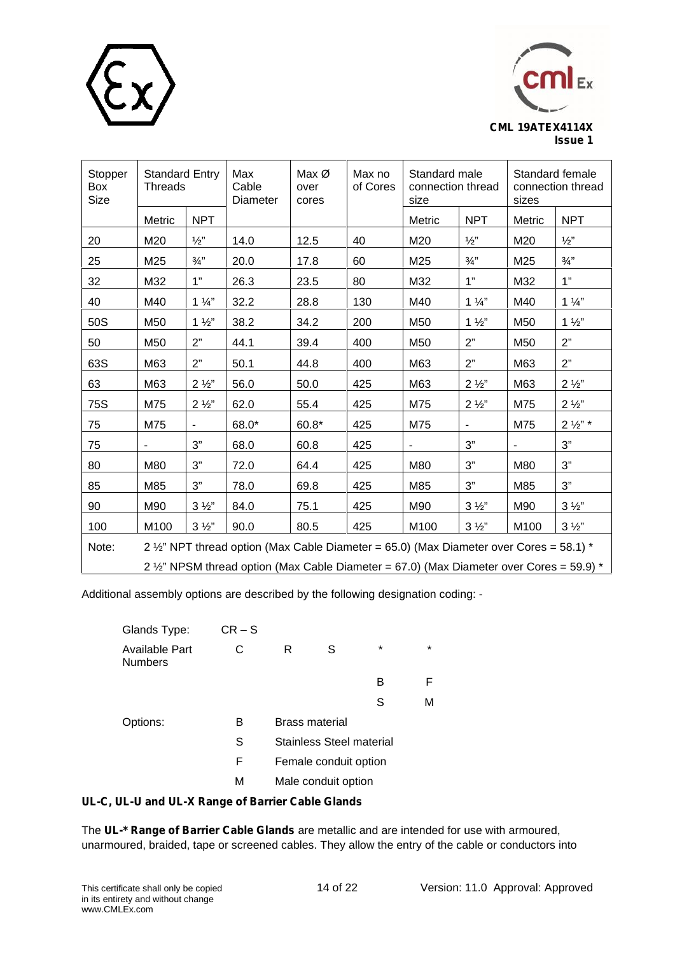



| Stopper<br>Box<br>Size | <b>Standard Entry</b><br><b>Threads</b> |                 | Max<br>Cable<br>Diameter                                                                 | Max $\varnothing$<br>over<br>cores | Max no<br>of Cores | Standard male<br>connection thread<br>size |                 | sizes          | Standard female<br>connection thread |
|------------------------|-----------------------------------------|-----------------|------------------------------------------------------------------------------------------|------------------------------------|--------------------|--------------------------------------------|-----------------|----------------|--------------------------------------|
|                        | Metric                                  | <b>NPT</b>      |                                                                                          |                                    |                    | Metric                                     | <b>NPT</b>      | Metric         | <b>NPT</b>                           |
| 20                     | M20                                     | $\frac{1}{2}$ " | 14.0                                                                                     | 12.5                               | 40                 | M20                                        | $\frac{1}{2}$   | M20            | $\frac{1}{2}$ "                      |
| 25                     | M25                                     | $\frac{3}{4}$ " | 20.0                                                                                     | 17.8                               | 60                 | M25                                        | $\frac{3}{4}$ " | M25            | $\frac{3}{4}$ "                      |
| 32                     | M32                                     | 1"              | 26.3                                                                                     | 23.5                               | 80                 | M32                                        | 1"              | M32            | 1"                                   |
| 40                     | M40                                     | $1\frac{1}{4}$  | 32.2                                                                                     | 28.8                               | 130                | M40                                        | $1\frac{1}{4}$  | M40            | $1\frac{1}{4}$                       |
| 50S                    | M50                                     | $1\frac{1}{2}$  | 38.2                                                                                     | 34.2                               | 200                | M50                                        | $1\frac{1}{2}$  | M50            | $1\frac{1}{2}$                       |
| 50                     | M50                                     | 2"              | 44.1                                                                                     | 39.4                               | 400                | M50                                        | 2"              | M50            | 2"                                   |
| 63S                    | M63                                     | 2"              | 50.1                                                                                     | 44.8                               | 400                | M63                                        | 2"              | M63            | 2"                                   |
| 63                     | M63                                     | $2\frac{1}{2}$  | 56.0                                                                                     | 50.0                               | 425                | M63                                        | $2\frac{1}{2}$  | M63            | $2\frac{1}{2}$                       |
| <b>75S</b>             | M75                                     | $2\frac{1}{2}$  | 62.0                                                                                     | 55.4                               | 425                | M75                                        | $2\frac{1}{2}$  | M75            | $2\frac{1}{2}$                       |
| 75                     | M75                                     |                 | 68.0*                                                                                    | $60.8*$                            | 425                | M75                                        |                 | M75            | $2\frac{1}{2}$ " *                   |
| 75                     |                                         | 3"              | 68.0                                                                                     | 60.8                               | 425                |                                            | 3"              | $\blacksquare$ | 3"                                   |
| 80                     | M80                                     | 3"              | 72.0                                                                                     | 64.4                               | 425                | M80                                        | 3"              | M80            | 3"                                   |
| 85                     | M85                                     | 3"              | 78.0                                                                                     | 69.8                               | 425                | M85                                        | 3"              | M85            | 3"                                   |
| 90                     | M90                                     | $3\frac{1}{2}$  | 84.0                                                                                     | 75.1                               | 425                | M90                                        | $3\frac{1}{2}$  | M90            | $3\frac{1}{2}$                       |
| 100                    | M100                                    | $3\frac{1}{2}$  | 90.0                                                                                     | 80.5                               | 425                | M100                                       | $3\frac{1}{2}$  | M100           | $3\frac{1}{2}$                       |
| Note:                  |                                         |                 | 2 1/2" NPT thread option (Max Cable Diameter = 65.0) (Max Diameter over Cores = 58.1) *  |                                    |                    |                                            |                 |                |                                      |
|                        |                                         |                 | 2 1/2" NPSM thread option (Max Cable Diameter = 67.0) (Max Diameter over Cores = 59.9) * |                                    |                    |                                            |                 |                |                                      |

Additional assembly options are described by the following designation coding: -

| Glands Type:                     | $CR-S$ |                       |                          |         |         |  |
|----------------------------------|--------|-----------------------|--------------------------|---------|---------|--|
| Available Part<br><b>Numbers</b> | С      | R                     | S                        | $\star$ | $\star$ |  |
|                                  |        |                       |                          | в       | F       |  |
|                                  |        |                       |                          | S       | М       |  |
| Options:                         | В      | <b>Brass material</b> |                          |         |         |  |
|                                  | S      |                       | Stainless Steel material |         |         |  |
|                                  | F      |                       | Female conduit option    |         |         |  |
|                                  | М      |                       | Male conduit option      |         |         |  |

# **UL-C, UL-U and UL-X Range of Barrier Cable Glands**

The **UL-\* Range of Barrier Cable Glands** are metallic and are intended for use with armoured, unarmoured, braided, tape or screened cables. They allow the entry of the cable or conductors into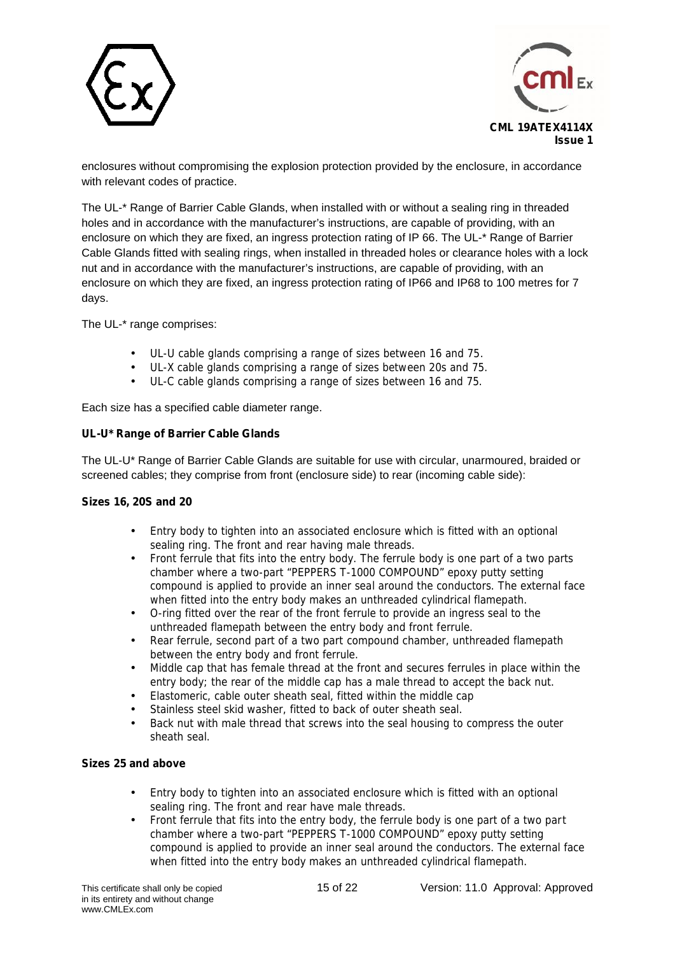



enclosures without compromising the explosion protection provided by the enclosure, in accordance with relevant codes of practice.

The UL-\* Range of Barrier Cable Glands, when installed with or without a sealing ring in threaded holes and in accordance with the manufacturer's instructions, are capable of providing, with an enclosure on which they are fixed, an ingress protection rating of IP 66. The UL-\* Range of Barrier Cable Glands fitted with sealing rings, when installed in threaded holes or clearance holes with a lock nut and in accordance with the manufacturer's instructions, are capable of providing, with an enclosure on which they are fixed, an ingress protection rating of IP66 and IP68 to 100 metres for 7 days.

The UL-\* range comprises:

- UL-U cable glands comprising a range of sizes between 16 and 75.
- UL-X cable glands comprising a range of sizes between 20s and 75.
- UL-C cable glands comprising a range of sizes between 16 and 75.

Each size has a specified cable diameter range.

## **UL-U\* Range of Barrier Cable Glands**

The UL-U\* Range of Barrier Cable Glands are suitable for use with circular, unarmoured, braided or screened cables; they comprise from front (enclosure side) to rear (incoming cable side):

## **Sizes 16, 20S and 20**

- Entry body to tighten into an associated enclosure which is fitted with an optional sealing ring. The front and rear having male threads.
- Front ferrule that fits into the entry body. The ferrule body is one part of a two parts chamber where a two-part "PEPPERS T-1000 COMPOUND" epoxy putty setting compound is applied to provide an inner seal around the conductors. The external face when fitted into the entry body makes an unthreaded cylindrical flamepath.
- O-ring fitted over the rear of the front ferrule to provide an ingress seal to the unthreaded flamepath between the entry body and front ferrule.
- Rear ferrule, second part of a two part compound chamber, unthreaded flamepath between the entry body and front ferrule.
- Middle cap that has female thread at the front and secures ferrules in place within the entry body; the rear of the middle cap has a male thread to accept the back nut.
- Elastomeric, cable outer sheath seal, fitted within the middle cap
- Stainless steel skid washer, fitted to back of outer sheath seal.
- Back nut with male thread that screws into the seal housing to compress the outer sheath seal.

# **Sizes 25 and above**

- Entry body to tighten into an associated enclosure which is fitted with an optional sealing ring. The front and rear have male threads.
- Front ferrule that fits into the entry body, the ferrule body is one part of a two part chamber where a two-part "PEPPERS T-1000 COMPOUND" epoxy putty setting compound is applied to provide an inner seal around the conductors. The external face when fitted into the entry body makes an unthreaded cylindrical flamepath.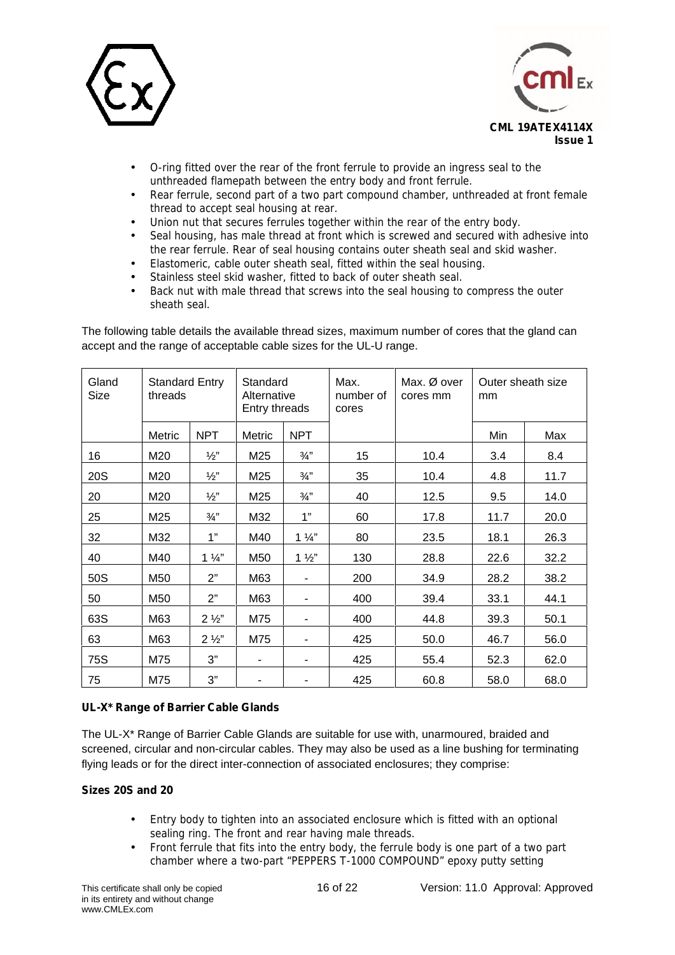



- O-ring fitted over the rear of the front ferrule to provide an ingress seal to the unthreaded flamepath between the entry body and front ferrule.
- Rear ferrule, second part of a two part compound chamber, unthreaded at front female thread to accept seal housing at rear.
- Union nut that secures ferrules together within the rear of the entry body.
- Seal housing, has male thread at front which is screwed and secured with adhesive into the rear ferrule. Rear of seal housing contains outer sheath seal and skid washer.
- Elastomeric, cable outer sheath seal, fitted within the seal housing.
- Stainless steel skid washer, fitted to back of outer sheath seal.
- Back nut with male thread that screws into the seal housing to compress the outer sheath seal.

| The following table details the available thread sizes, maximum number of cores that the gland can |  |
|----------------------------------------------------------------------------------------------------|--|
| accept and the range of acceptable cable sizes for the UL-U range.                                 |  |

| Gland<br>Size | <b>Standard Entry</b><br>threads |                 | Standard<br>Alternative<br>Entry threads |                          | Max.<br>number of<br>cores | Max. $\varnothing$ over<br>cores mm | Outer sheath size<br>mm |      |
|---------------|----------------------------------|-----------------|------------------------------------------|--------------------------|----------------------------|-------------------------------------|-------------------------|------|
|               | Metric                           | <b>NPT</b>      | Metric                                   | <b>NPT</b>               |                            |                                     | Min                     | Max  |
| 16            | M20                              | $\frac{1}{2}$   | M25                                      | $\frac{3}{4}$            | 15                         | 10.4                                | 3.4                     | 8.4  |
| 20S           | M20                              | $\frac{1}{2}$ " | M25                                      | $\frac{3}{4}$ "          | 35                         | 10.4                                | 4.8                     | 11.7 |
| 20            | M20                              | $\frac{1}{2}$   | M25                                      | $\frac{3}{4}$            | 40                         | 12.5                                | 9.5                     | 14.0 |
| 25            | M25                              | $\frac{3}{4}$ " | M32                                      | 1"                       | 60                         | 17.8                                | 11.7                    | 20.0 |
| 32            | M32                              | 1"              | M40                                      | $1\frac{1}{4}$           | 80                         | 23.5                                | 18.1                    | 26.3 |
| 40            | M40                              | $1\frac{1}{4}$  | M50                                      | $1\frac{1}{2}$           | 130                        | 28.8                                | 22.6                    | 32.2 |
| 50S           | M50                              | 2"              | M63                                      |                          | 200                        | 34.9                                | 28.2                    | 38.2 |
| 50            | M50                              | 2"              | M63                                      |                          | 400                        | 39.4                                | 33.1                    | 44.1 |
| 63S           | M63                              | $2\frac{1}{2}$  | M75                                      | $\overline{\phantom{a}}$ | 400                        | 44.8                                | 39.3                    | 50.1 |
| 63            | M63                              | $2\frac{1}{2}$  | M75                                      | $\overline{\phantom{a}}$ | 425                        | 50.0                                | 46.7                    | 56.0 |
| 75S           | M75                              | 3"              | -                                        | $\overline{\phantom{a}}$ | 425                        | 55.4                                | 52.3                    | 62.0 |
| 75            | M75                              | 3"              |                                          |                          | 425                        | 60.8                                | 58.0                    | 68.0 |

## **UL-X\* Range of Barrier Cable Glands**

The UL-X\* Range of Barrier Cable Glands are suitable for use with, unarmoured, braided and screened, circular and non-circular cables. They may also be used as a line bushing for terminating flying leads or for the direct inter-connection of associated enclosures; they comprise:

## **Sizes 20S and 20**

- Entry body to tighten into an associated enclosure which is fitted with an optional sealing ring. The front and rear having male threads.
- Front ferrule that fits into the entry body, the ferrule body is one part of a two part chamber where a two-part "PEPPERS T-1000 COMPOUND" epoxy putty setting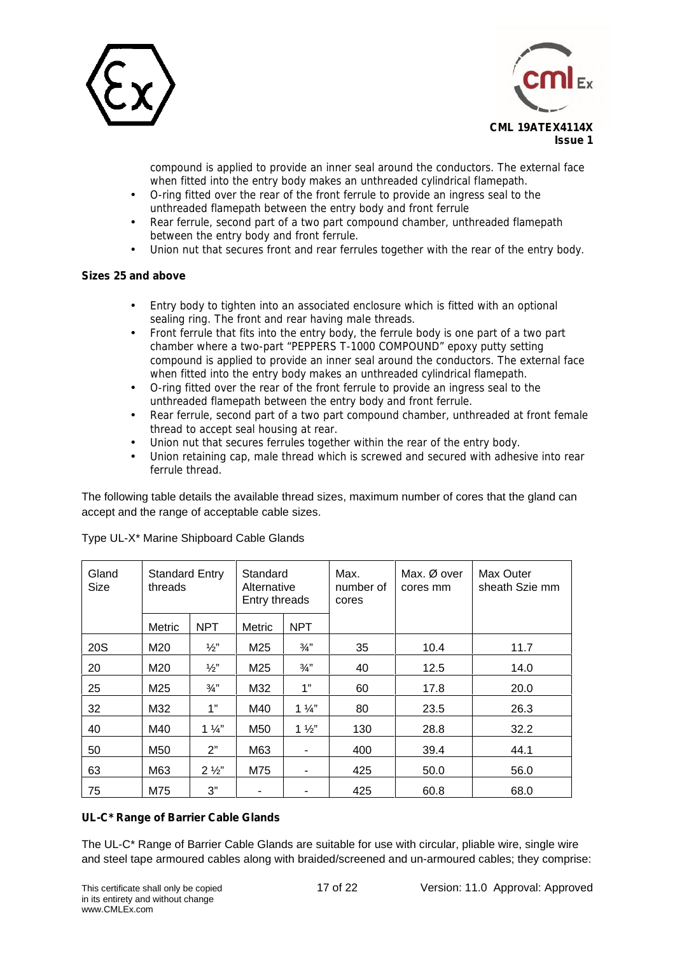



compound is applied to provide an inner seal around the conductors. The external face when fitted into the entry body makes an unthreaded cylindrical flamepath.

- O-ring fitted over the rear of the front ferrule to provide an ingress seal to the
- unthreaded flamepath between the entry body and front ferrule
- Rear ferrule, second part of a two part compound chamber, unthreaded flamepath between the entry body and front ferrule.
- Union nut that secures front and rear ferrules together with the rear of the entry body.

# **Sizes 25 and above**

- Entry body to tighten into an associated enclosure which is fitted with an optional sealing ring. The front and rear having male threads.
- Front ferrule that fits into the entry body, the ferrule body is one part of a two part chamber where a two-part "PEPPERS T-1000 COMPOUND" epoxy putty setting compound is applied to provide an inner seal around the conductors. The external face when fitted into the entry body makes an unthreaded cylindrical flamepath.
- O-ring fitted over the rear of the front ferrule to provide an ingress seal to the unthreaded flamepath between the entry body and front ferrule.
- Rear ferrule, second part of a two part compound chamber, unthreaded at front female thread to accept seal housing at rear.
- Union nut that secures ferrules together within the rear of the entry body.
- Union retaining cap, male thread which is screwed and secured with adhesive into rear ferrule thread.

The following table details the available thread sizes, maximum number of cores that the gland can accept and the range of acceptable cable sizes.

| Gland<br>Size | <b>Standard Entry</b><br>threads |                 | Standard<br>Alternative<br>Entry threads |                          | Max.<br>number of<br>cores | Max. Ø over<br>cores mm | Max Outer<br>sheath Szie mm |
|---------------|----------------------------------|-----------------|------------------------------------------|--------------------------|----------------------------|-------------------------|-----------------------------|
|               | Metric                           | <b>NPT</b>      | Metric                                   | <b>NPT</b>               |                            |                         |                             |
| <b>20S</b>    | M20                              | $\frac{1}{2}$   | M25                                      | $\frac{3}{4}$            | 35                         | 10.4                    | 11.7                        |
| 20            | M20                              | $\frac{1}{2}$   | M25                                      | $\frac{3}{4}$            | 40                         | 12.5                    | 14.0                        |
| 25            | M25                              | $\frac{3}{4}$ " | M32                                      | 1"                       | 60                         | 17.8                    | 20.0                        |
| 32            | M32                              | 1"              | M40                                      | $1\frac{1}{4}$           | 80                         | 23.5                    | 26.3                        |
| 40            | M40                              | $1\frac{1}{4}$  | M50                                      | $1\frac{1}{2}$           | 130                        | 28.8                    | 32.2                        |
| 50            | M50                              | 2"              | M63                                      | -                        | 400                        | 39.4                    | 44.1                        |
| 63            | M63                              | $2\frac{1}{2}$  | M75                                      | $\overline{\phantom{a}}$ | 425                        | 50.0                    | 56.0                        |
| 75            | M75                              | 3"              | $\blacksquare$                           | ۰                        | 425                        | 60.8                    | 68.0                        |

Type UL-X\* Marine Shipboard Cable Glands

# **UL-C\* Range of Barrier Cable Glands**

The UL-C\* Range of Barrier Cable Glands are suitable for use with circular, pliable wire, single wire and steel tape armoured cables along with braided/screened and un-armoured cables; they comprise: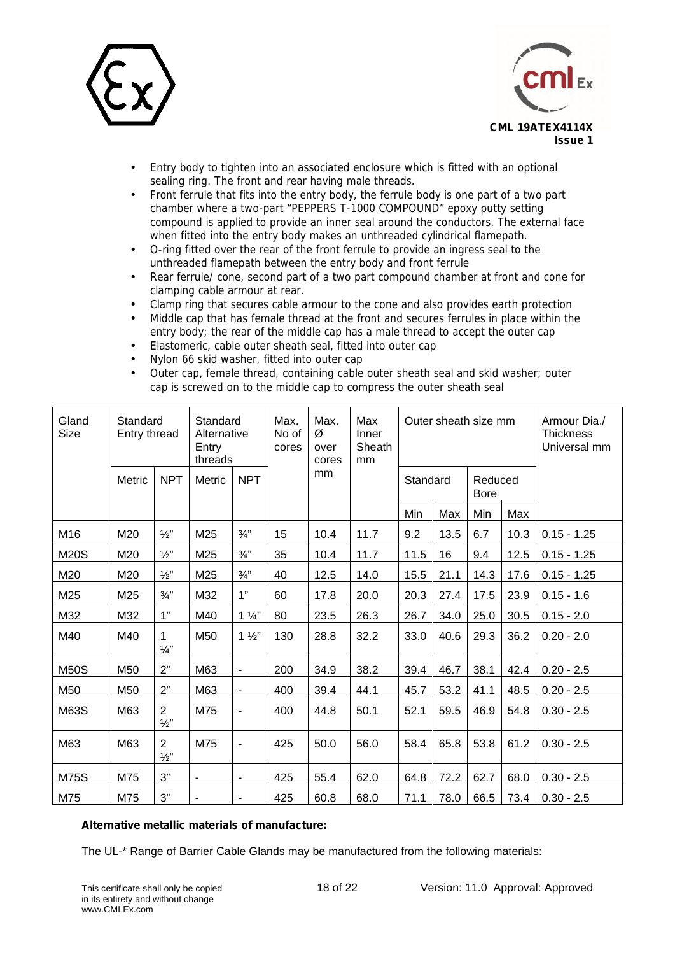



- Entry body to tighten into an associated enclosure which is fitted with an optional sealing ring. The front and rear having male threads.
- Front ferrule that fits into the entry body, the ferrule body is one part of a two part chamber where a two-part "PEPPERS T-1000 COMPOUND" epoxy putty setting compound is applied to provide an inner seal around the conductors. The external face when fitted into the entry body makes an unthreaded cylindrical flamepath.
- O-ring fitted over the rear of the front ferrule to provide an ingress seal to the unthreaded flamepath between the entry body and front ferrule
- Rear ferrule/ cone, second part of a two part compound chamber at front and cone for clamping cable armour at rear.
- Clamp ring that secures cable armour to the cone and also provides earth protection
- Middle cap that has female thread at the front and secures ferrules in place within the entry body; the rear of the middle cap has a male thread to accept the outer cap
- Elastomeric, cable outer sheath seal, fitted into outer cap
- Nylon 66 skid washer, fitted into outer cap
- Outer cap, female thread, containing cable outer sheath seal and skid washer; outer cap is screwed on to the middle cap to compress the outer sheath seal

| Gland<br><b>Size</b> | Standard<br>Entry thread |                                 | Standard<br>Alternative<br>Entry<br>threads |                          | Max.<br>No of<br>cores | Max.<br>Ø<br>over<br>cores | Max<br>Inner<br>Sheath<br>mm |          |      | Outer sheath size mm   |      | Armour Dia./<br><b>Thickness</b><br>Universal mm |
|----------------------|--------------------------|---------------------------------|---------------------------------------------|--------------------------|------------------------|----------------------------|------------------------------|----------|------|------------------------|------|--------------------------------------------------|
|                      | Metric                   | <b>NPT</b>                      | <b>Metric</b>                               | <b>NPT</b>               |                        | mm                         |                              | Standard |      | Reduced<br><b>Bore</b> |      |                                                  |
|                      |                          |                                 |                                             |                          |                        |                            |                              | Min      | Max  | Min                    | Max  |                                                  |
| M16                  | M20                      | $\frac{1}{2}$                   | M25                                         | $\frac{3}{4}$            | 15                     | 10.4                       | 11.7                         | 9.2      | 13.5 | 6.7                    | 10.3 | $0.15 - 1.25$                                    |
| <b>M20S</b>          | M20                      | $\frac{1}{2}$ "                 | M25                                         | $\frac{3}{4}$ "          | 35                     | 10.4                       | 11.7                         | 11.5     | 16   | 9.4                    | 12.5 | $0.15 - 1.25$                                    |
| M20                  | M20                      | $\frac{1}{2}$                   | M25                                         | $\frac{3}{4}$            | 40                     | 12.5                       | 14.0                         | 15.5     | 21.1 | 14.3                   | 17.6 | $0.15 - 1.25$                                    |
| M25                  | M25                      | $\frac{3}{4}$ "                 | M32                                         | 1"                       | 60                     | 17.8                       | 20.0                         | 20.3     | 27.4 | 17.5                   | 23.9 | $0.15 - 1.6$                                     |
| M32                  | M32                      | 1"                              | M40                                         | $1\frac{1}{4}$           | 80                     | 23.5                       | 26.3                         | 26.7     | 34.0 | 25.0                   | 30.5 | $0.15 - 2.0$                                     |
| M40                  | M40                      | 1<br>$\frac{1}{4}$              | M50                                         | $1\frac{1}{2}$           | 130                    | 28.8                       | 32.2                         | 33.0     | 40.6 | 29.3                   | 36.2 | $0.20 - 2.0$                                     |
| <b>M50S</b>          | M50                      | 2"                              | M63                                         | $\blacksquare$           | 200                    | 34.9                       | 38.2                         | 39.4     | 46.7 | 38.1                   | 42.4 | $0.20 - 2.5$                                     |
| M50                  | M50                      | 2"                              | M63                                         | $\blacksquare$           | 400                    | 39.4                       | 44.1                         | 45.7     | 53.2 | 41.1                   | 48.5 | $0.20 - 2.5$                                     |
| M63S                 | M63                      | $\overline{2}$<br>$\frac{1}{2}$ | M75                                         | $\overline{\phantom{a}}$ | 400                    | 44.8                       | 50.1                         | 52.1     | 59.5 | 46.9                   | 54.8 | $0.30 - 2.5$                                     |
| M63                  | M63                      | $\overline{2}$<br>$\frac{1}{2}$ | M75                                         | $\overline{\phantom{a}}$ | 425                    | 50.0                       | 56.0                         | 58.4     | 65.8 | 53.8                   | 61.2 | $0.30 - 2.5$                                     |
| <b>M75S</b>          | M75                      | 3"                              | $\overline{\phantom{a}}$                    | $\overline{\phantom{a}}$ | 425                    | 55.4                       | 62.0                         | 64.8     | 72.2 | 62.7                   | 68.0 | $0.30 - 2.5$                                     |
| M75                  | M75                      | 3"                              |                                             |                          | 425                    | 60.8                       | 68.0                         | 71.1     | 78.0 | 66.5                   | 73.4 | $0.30 - 2.5$                                     |

## **Alternative metallic materials of manufacture:**

The UL-\* Range of Barrier Cable Glands may be manufactured from the following materials: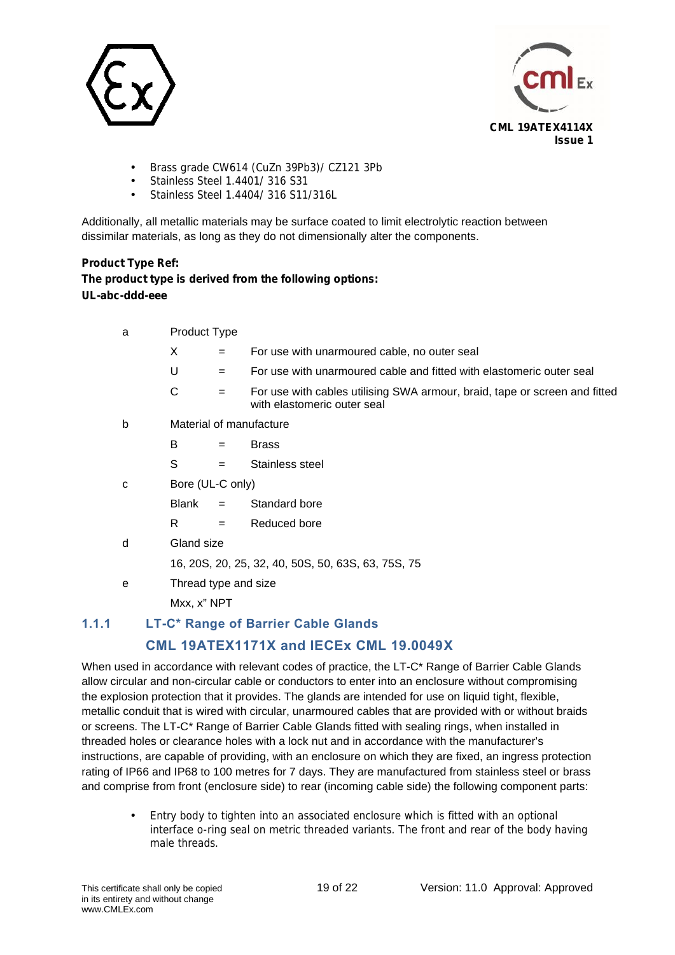



- Brass grade CW614 (CuZn 39Pb3)/ CZ121 3Pb Stainless Steel 1.4401/ 316 S31
- Stainless Steel 1.4404/ 316 S11/316L

Additionally, all metallic materials may be surface coated to limit electrolytic reaction between dissimilar materials, as long as they do not dimensionally alter the components.

# **Product Type Ref: The product type is derived from the following options: UL-abc-ddd-eee**

| a | Product Type     |     |                                                                                                           |  |  |  |  |  |
|---|------------------|-----|-----------------------------------------------------------------------------------------------------------|--|--|--|--|--|
|   | X                | $=$ | For use with unarmoured cable, no outer seal                                                              |  |  |  |  |  |
|   | U                | $=$ | For use with unarmoured cable and fitted with elastomeric outer seal                                      |  |  |  |  |  |
|   | $\mathsf C$      | $=$ | For use with cables utilising SWA armour, braid, tape or screen and fitted<br>with elastomeric outer seal |  |  |  |  |  |
| b |                  |     | Material of manufacture                                                                                   |  |  |  |  |  |
|   | B                | $=$ | <b>Brass</b>                                                                                              |  |  |  |  |  |
|   | S                | $=$ | Stainless steel                                                                                           |  |  |  |  |  |
| C | Bore (UL-C only) |     |                                                                                                           |  |  |  |  |  |
|   | Blank            | $=$ | Standard bore                                                                                             |  |  |  |  |  |
|   | R                | $=$ | Reduced bore                                                                                              |  |  |  |  |  |
| d | Gland size       |     |                                                                                                           |  |  |  |  |  |
|   |                  |     | 16, 20S, 20, 25, 32, 40, 50S, 50, 63S, 63, 75S, 75                                                        |  |  |  |  |  |
| е |                  |     | Thread type and size                                                                                      |  |  |  |  |  |
|   | Mxx, x" NPT      |     |                                                                                                           |  |  |  |  |  |
|   |                  |     |                                                                                                           |  |  |  |  |  |

# **1.1.1 LT-C\* Range of Barrier Cable Glands**

# **CML 19ATEX1171X and IECEx CML 19.0049X**

When used in accordance with relevant codes of practice, the LT-C\* Range of Barrier Cable Glands allow circular and non-circular cable or conductors to enter into an enclosure without compromising the explosion protection that it provides. The glands are intended for use on liquid tight, flexible, metallic conduit that is wired with circular, unarmoured cables that are provided with or without braids or screens. The LT-C\* Range of Barrier Cable Glands fitted with sealing rings, when installed in threaded holes or clearance holes with a lock nut and in accordance with the manufacturer's instructions, are capable of providing, with an enclosure on which they are fixed, an ingress protection rating of IP66 and IP68 to 100 metres for 7 days. They are manufactured from stainless steel or brass and comprise from front (enclosure side) to rear (incoming cable side) the following component parts:

 Entry body to tighten into an associated enclosure which is fitted with an optional interface o-ring seal on metric threaded variants. The front and rear of the body having male threads.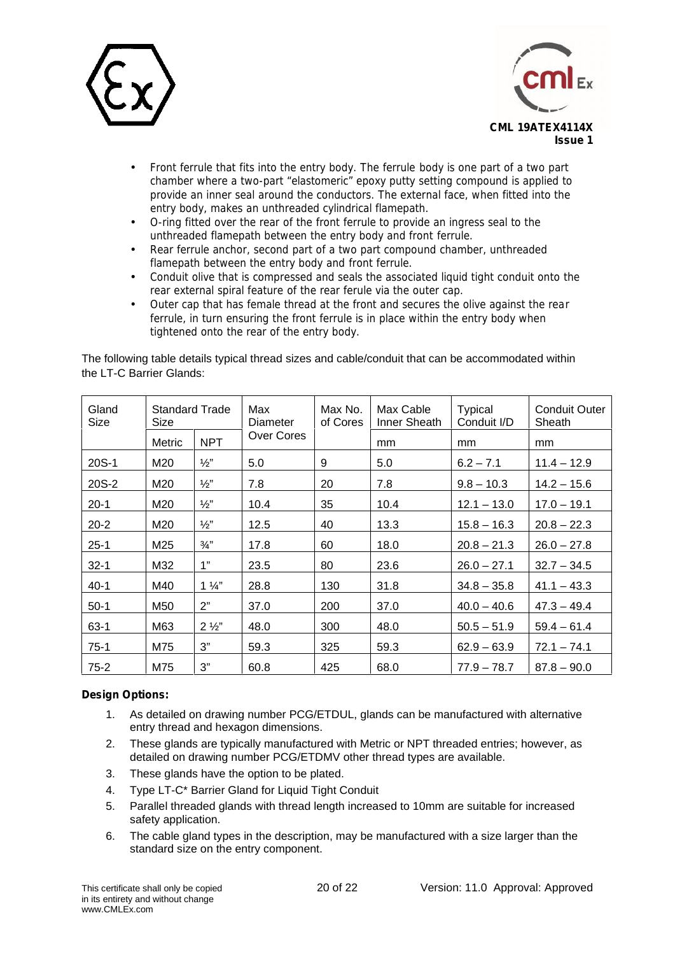



- Front ferrule that fits into the entry body. The ferrule body is one part of a two part chamber where a two-part "elastomeric" epoxy putty setting compound is applied to provide an inner seal around the conductors. The external face, when fitted into the entry body, makes an unthreaded cylindrical flamepath.
- O-ring fitted over the rear of the front ferrule to provide an ingress seal to the unthreaded flamepath between the entry body and front ferrule.
- Rear ferrule anchor, second part of a two part compound chamber, unthreaded flamepath between the entry body and front ferrule.
- Conduit olive that is compressed and seals the associated liquid tight conduit onto the rear external spiral feature of the rear ferule via the outer cap.
- Outer cap that has female thread at the front and secures the olive against the rear ferrule, in turn ensuring the front ferrule is in place within the entry body when tightened onto the rear of the entry body.

| Gland<br>Size | Size          | Standard Trade  | Max<br>Diameter | Max No.<br>of Cores | Max Cable<br>Inner Sheath | <b>Typical</b><br>Conduit I/D | Conduit Outer<br>Sheath |
|---------------|---------------|-----------------|-----------------|---------------------|---------------------------|-------------------------------|-------------------------|
|               | <b>Metric</b> | <b>NPT</b>      | Over Cores      |                     | mm                        | mm                            | mm                      |
| $20S-1$       | M20           | $\frac{1}{2}$   | 5.0             | 9                   | 5.0                       | $6.2 - 7.1$                   | $11.4 - 12.9$           |
| 20S-2         | M20           | $\frac{1}{2}$   | 7.8             | 20                  | 7.8                       | $9.8 - 10.3$                  | $14.2 - 15.6$           |
| $20 - 1$      | M20           | $\frac{1}{2}$   | 10.4            | 35                  | 10.4                      | $12.1 - 13.0$                 | $17.0 - 19.1$           |
| $20 - 2$      | M20           | $\frac{1}{2}$   | 12.5            | 40                  | 13.3                      | $15.8 - 16.3$                 | $20.8 - 22.3$           |
| $25 - 1$      | M25           | $\frac{3}{4}$ " | 17.8            | 60                  | 18.0                      | $20.8 - 21.3$                 | $26.0 - 27.8$           |
| $32 - 1$      | M32           | 1"              | 23.5            | 80                  | 23.6                      | $26.0 - 27.1$                 | $32.7 - 34.5$           |
| $40 - 1$      | M40           | $1\frac{1}{4}$  | 28.8            | 130                 | 31.8                      | $34.8 - 35.8$                 | $41.1 - 43.3$           |
| $50-1$        | M50           | 2"              | 37.0            | 200                 | 37.0                      | $40.0 - 40.6$                 | $47.3 - 49.4$           |
| $63-1$        | M63           | $2\frac{1}{2}$  | 48.0            | 300                 | 48.0                      | $50.5 - 51.9$                 | $59.4 - 61.4$           |
| $75-1$        | M75           | 3"              | 59.3            | 325                 | 59.3                      | $62.9 - 63.9$                 | $72.1 - 74.1$           |
| $75-2$        | M75           | 3"              | 60.8            | 425                 | 68.0                      | $77.9 - 78.7$                 | $87.8 - 90.0$           |

The following table details typical thread sizes and cable/conduit that can be accommodated within the LT-C Barrier Glands:

# **Design Options:**

- 1. As detailed on drawing number PCG/ETDUL, glands can be manufactured with alternative entry thread and hexagon dimensions.
- 2. These glands are typically manufactured with Metric or NPT threaded entries; however, as detailed on drawing number PCG/ETDMV other thread types are available.
- 3. These glands have the option to be plated.
- 4. Type LT-C\* Barrier Gland for Liquid Tight Conduit
- 5. Parallel threaded glands with thread length increased to 10mm are suitable for increased safety application.
- 6. The cable gland types in the description, may be manufactured with a size larger than the standard size on the entry component.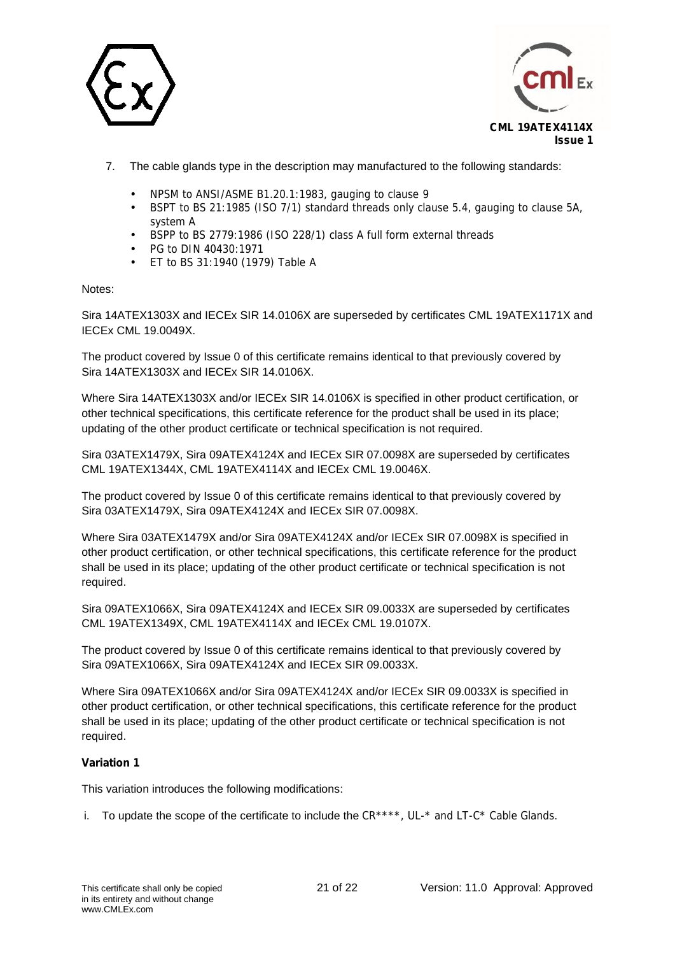



- 7. The cable glands type in the description may manufactured to the following standards:
	- NPSM to ANSI/ASME B1.20.1:1983, gauging to clause 9
	- BSPT to BS 21:1985 (ISO 7/1) standard threads only clause 5.4, gauging to clause 5A, system A
	- BSPP to BS 2779:1986 (ISO 228/1) class A full form external threads
	- PG to DIN 40430:1971
	- ET to BS 31:1940 (1979) Table A

## Notes:

Sira 14ATEX1303X and IECEx SIR 14.0106X are superseded by certificates CML 19ATEX1171X and IECEx CML 19.0049X.

The product covered by Issue 0 of this certificate remains identical to that previously covered by Sira 14ATEX1303X and IECEx SIR 14.0106X.

Where Sira 14ATEX1303X and/or IECEx SIR 14.0106X is specified in other product certification, or other technical specifications, this certificate reference for the product shall be used in its place; updating of the other product certificate or technical specification is not required.

Sira 03ATEX1479X, Sira 09ATEX4124X and IECEx SIR 07.0098X are superseded by certificates CML 19ATEX1344X, CML 19ATEX4114X and IECEx CML 19.0046X.

The product covered by Issue 0 of this certificate remains identical to that previously covered by Sira 03ATEX1479X, Sira 09ATEX4124X and IECEx SIR 07.0098X.

Where Sira 03ATEX1479X and/or Sira 09ATEX4124X and/or IECEx SIR 07.0098X is specified in other product certification, or other technical specifications, this certificate reference for the product shall be used in its place; updating of the other product certificate or technical specification is not required.

Sira 09ATEX1066X, Sira 09ATEX4124X and IECEx SIR 09.0033X are superseded by certificates CML 19ATEX1349X, CML 19ATEX4114X and IECEx CML 19.0107X.

The product covered by Issue 0 of this certificate remains identical to that previously covered by Sira 09ATEX1066X, Sira 09ATEX4124X and IECEx SIR 09.0033X.

Where Sira 09ATEX1066X and/or Sira 09ATEX4124X and/or IECEx SIR 09.0033X is specified in other product certification, or other technical specifications, this certificate reference for the product shall be used in its place; updating of the other product certificate or technical specification is not required.

## **Variation 1**

This variation introduces the following modifications:

i. To update the scope of the certificate to include the  $CR***^*$ , UL- $*$  and LT- $C*$  Cable Glands.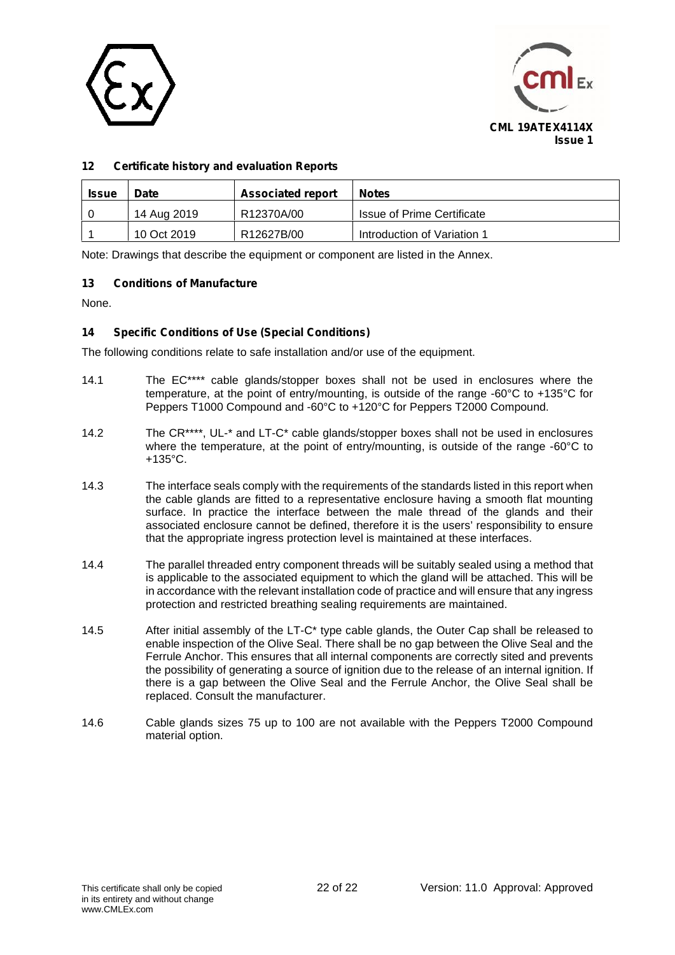



# **12 Certificate history and evaluation Reports**

| <b>Issue</b> | Date        | <b>Associated report</b> | <b>Notes</b>                |
|--------------|-------------|--------------------------|-----------------------------|
|              | 14 Aug 2019 | R12370A/00               | Issue of Prime Certificate  |
|              | 10 Oct 2019 | R12627B/00               | Introduction of Variation 1 |

Note: Drawings that describe the equipment or component are listed in the Annex.

## **13 Conditions of Manufacture**

None.

## **14 Specific Conditions of Use (Special Conditions)**

The following conditions relate to safe installation and/or use of the equipment.

- 14.1 The EC\*\*\*\* cable glands/stopper boxes shall not be used in enclosures where the temperature, at the point of entry/mounting, is outside of the range -60°C to +135°C for Peppers T1000 Compound and -60°C to +120°C for Peppers T2000 Compound.
- 14.2 The CR\*\*\*\*, UL-\* and LT-C\* cable glands/stopper boxes shall not be used in enclosures where the temperature, at the point of entry/mounting, is outside of the range -60°C to  $+135^{\circ}$ C.
- 14.3 The interface seals comply with the requirements of the standards listed in this report when the cable glands are fitted to a representative enclosure having a smooth flat mounting surface. In practice the interface between the male thread of the glands and their associated enclosure cannot be defined, therefore it is the users' responsibility to ensure that the appropriate ingress protection level is maintained at these interfaces.
- 14.4 The parallel threaded entry component threads will be suitably sealed using a method that is applicable to the associated equipment to which the gland will be attached. This will be in accordance with the relevant installation code of practice and will ensure that any ingress protection and restricted breathing sealing requirements are maintained.
- 14.5 After initial assembly of the LT-C<sup>\*</sup> type cable glands, the Outer Cap shall be released to enable inspection of the Olive Seal. There shall be no gap between the Olive Seal and the Ferrule Anchor. This ensures that all internal components are correctly sited and prevents the possibility of generating a source of ignition due to the release of an internal ignition. If there is a gap between the Olive Seal and the Ferrule Anchor, the Olive Seal shall be replaced. Consult the manufacturer.
- 14.6 Cable glands sizes 75 up to 100 are not available with the Peppers T2000 Compound material option.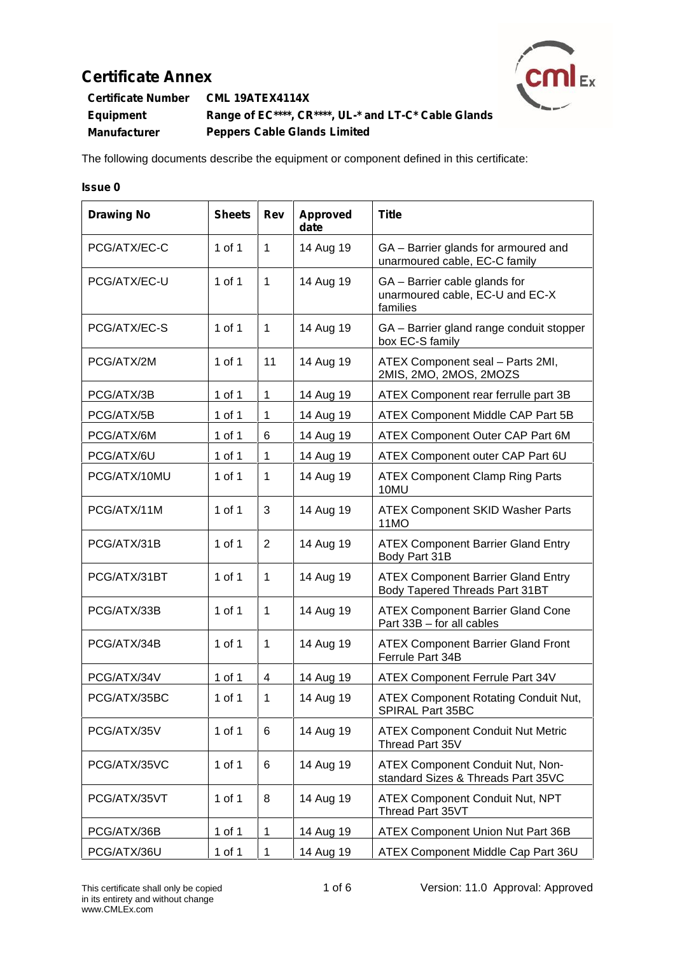

**Certificate Number CML 19ATEX4114X Equipment Range of EC\*\*\*\*, CR\*\*\*\*, UL-\* and LT-C\* Cable Glands Manufacturer Peppers Cable Glands Limited**

The following documents describe the equipment or component defined in this certificate:

# **Issue 0**

| <b>Drawing No</b> | <b>Sheets</b> | Rev            | <b>Approved</b><br>date | <b>Title</b>                                                                 |
|-------------------|---------------|----------------|-------------------------|------------------------------------------------------------------------------|
| PCG/ATX/EC-C      | 1 of 1        | $\mathbf{1}$   | 14 Aug 19               | GA - Barrier glands for armoured and<br>unarmoured cable, EC-C family        |
| PCG/ATX/EC-U      | 1 of 1        | $\mathbf{1}$   | 14 Aug 19               | GA - Barrier cable glands for<br>unarmoured cable, EC-U and EC-X<br>families |
| PCG/ATX/EC-S      | $1$ of $1$    | $\mathbf{1}$   | 14 Aug 19               | GA - Barrier gland range conduit stopper<br>box EC-S family                  |
| PCG/ATX/2M        | 1 of 1        | 11             | 14 Aug 19               | ATEX Component seal - Parts 2MI,<br>2MIS, 2MO, 2MOS, 2MOZS                   |
| PCG/ATX/3B        | 1 of 1        | $\mathbf 1$    | 14 Aug 19               | ATEX Component rear ferrulle part 3B                                         |
| PCG/ATX/5B        | 1 of 1        | $\mathbf{1}$   | 14 Aug 19               | ATEX Component Middle CAP Part 5B                                            |
| PCG/ATX/6M        | 1 of 1        | 6              | 14 Aug 19               | ATEX Component Outer CAP Part 6M                                             |
| PCG/ATX/6U        | 1 of 1        | $\mathbf{1}$   | 14 Aug 19               | ATEX Component outer CAP Part 6U                                             |
| PCG/ATX/10MU      | 1 of 1        | $\mathbf{1}$   | 14 Aug 19               | <b>ATEX Component Clamp Ring Parts</b><br>10MU                               |
| PCG/ATX/11M       | 1 of 1        | 3              | 14 Aug 19               | <b>ATEX Component SKID Washer Parts</b><br>11MO                              |
| PCG/ATX/31B       | 1 of 1        | $\overline{2}$ | 14 Aug 19               | <b>ATEX Component Barrier Gland Entry</b><br>Body Part 31B                   |
| PCG/ATX/31BT      | 1 of 1        | 1              | 14 Aug 19               | <b>ATEX Component Barrier Gland Entry</b><br>Body Tapered Threads Part 31BT  |
| PCG/ATX/33B       | 1 of 1        | $\mathbf{1}$   | 14 Aug 19               | <b>ATEX Component Barrier Gland Cone</b><br>Part 33B - for all cables        |
| PCG/ATX/34B       | 1 of 1        | $\mathbf{1}$   | 14 Aug 19               | <b>ATEX Component Barrier Gland Front</b><br>Ferrule Part 34B                |
| PCG/ATX/34V       | 1 of 1        | 4              | 14 Aug 19               | ATEX Component Ferrule Part 34V                                              |
| PCG/ATX/35BC      | 1 of 1        | 1              | 14 Aug 19               | <b>ATEX Component Rotating Conduit Nut,</b><br>SPIRAL Part 35BC              |
| PCG/ATX/35V       | $1$ of $1$    | 6              | 14 Aug 19               | <b>ATEX Component Conduit Nut Metric</b><br>Thread Part 35V                  |
| PCG/ATX/35VC      | 1 of 1        | 6              | 14 Aug 19               | ATEX Component Conduit Nut, Non-<br>standard Sizes & Threads Part 35VC       |
| PCG/ATX/35VT      | 1 of 1        | 8              | 14 Aug 19               | <b>ATEX Component Conduit Nut, NPT</b><br>Thread Part 35VT                   |
| PCG/ATX/36B       | 1 of 1        | 1              | 14 Aug 19               | ATEX Component Union Nut Part 36B                                            |
| PCG/ATX/36U       | 1 of 1        | $\mathbf{1}$   | 14 Aug 19               | ATEX Component Middle Cap Part 36U                                           |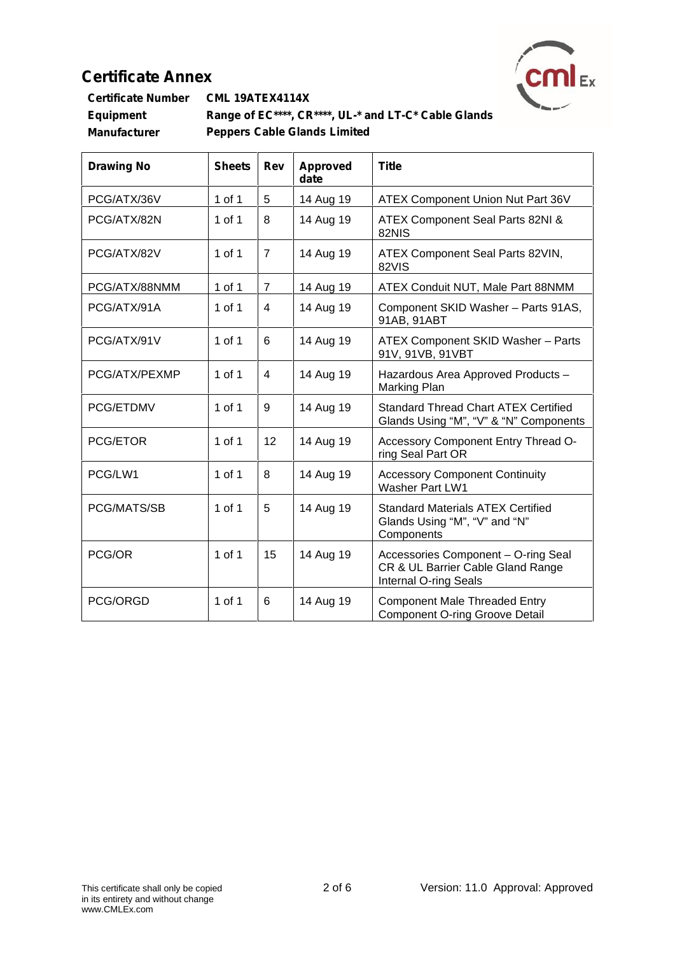

| <b>Certificate Number</b> | <b>CML 19ATEX4114X</b>                               |  |
|---------------------------|------------------------------------------------------|--|
| Equipment                 | Range of EC****, CR****, UL-* and LT-C* Cable Glands |  |
| Manufacturer              | <b>Peppers Cable Glands Limited</b>                  |  |

| <b>Drawing No</b> | <b>Sheets</b> | Rev            | <b>Approved</b><br>date | <b>Title</b>                                                                                      |
|-------------------|---------------|----------------|-------------------------|---------------------------------------------------------------------------------------------------|
| PCG/ATX/36V       | 1 of 1        | 5              | 14 Aug 19               | ATEX Component Union Nut Part 36V                                                                 |
| PCG/ATX/82N       | 1 of 1        | 8              | 14 Aug 19               | ATEX Component Seal Parts 82NI &<br>82NIS                                                         |
| PCG/ATX/82V       | 1 of 1        | $\overline{7}$ | 14 Aug 19               | ATEX Component Seal Parts 82VIN,<br>82VIS                                                         |
| PCG/ATX/88NMM     | 1 of 1        | $\overline{7}$ | 14 Aug 19               | ATEX Conduit NUT, Male Part 88NMM                                                                 |
| PCG/ATX/91A       | 1 of 1        | 4              | 14 Aug 19               | Component SKID Washer - Parts 91AS,<br>91AB, 91ABT                                                |
| PCG/ATX/91V       | 1 of 1        | 6              | 14 Aug 19               | ATEX Component SKID Washer - Parts<br>91V, 91VB, 91VBT                                            |
| PCG/ATX/PEXMP     | $1$ of $1$    | $\overline{4}$ | 14 Aug 19               | Hazardous Area Approved Products -<br>Marking Plan                                                |
| PCG/ETDMV         | 1 of 1        | 9              | 14 Aug 19               | <b>Standard Thread Chart ATEX Certified</b><br>Glands Using "M", "V" & "N" Components             |
| <b>PCG/ETOR</b>   | 1 of 1        | 12             | 14 Aug 19               | Accessory Component Entry Thread O-<br>ring Seal Part OR                                          |
| PCG/LW1           | 1 of 1        | 8              | 14 Aug 19               | <b>Accessory Component Continuity</b><br>Washer Part LW1                                          |
| PCG/MATS/SB       | 1 of 1        | 5              | 14 Aug 19               | <b>Standard Materials ATEX Certified</b><br>Glands Using "M", "V" and "N"<br>Components           |
| PCG/OR            | 1 of 1        | 15             | 14 Aug 19               | Accessories Component - O-ring Seal<br>CR & UL Barrier Cable Gland Range<br>Internal O-ring Seals |
| PCG/ORGD          | 1 of 1        | 6              | 14 Aug 19               | <b>Component Male Threaded Entry</b><br><b>Component O-ring Groove Detail</b>                     |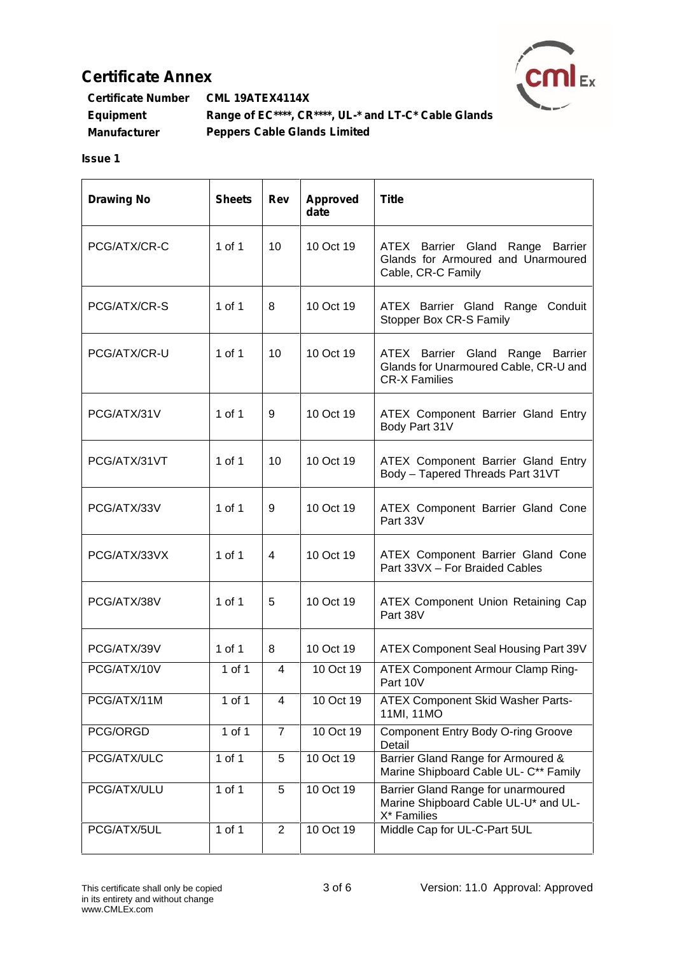

| <b>Certificate Number</b> | CML 19ATEX4114X                                      |  |
|---------------------------|------------------------------------------------------|--|
| Equipment                 | Range of EC****, CR****, UL-* and LT-C* Cable Glands |  |
| Manufacturer              | <b>Peppers Cable Glands Limited</b>                  |  |

# **Issue 1**

| <b>Drawing No</b> | <b>Sheets</b> | Rev            | Approved<br>date | <b>Title</b>                                                                                      |
|-------------------|---------------|----------------|------------------|---------------------------------------------------------------------------------------------------|
| PCG/ATX/CR-C      | $1$ of $1$    | 10             | 10 Oct 19        | ATEX Barrier Gland Range Barrier<br>Glands for Armoured and Unarmoured<br>Cable, CR-C Family      |
| PCG/ATX/CR-S      | $1$ of $1$    | 8              | 10 Oct 19        | ATEX Barrier Gland Range Conduit<br>Stopper Box CR-S Family                                       |
| PCG/ATX/CR-U      | $1$ of $1$    | 10             | 10 Oct 19        | ATEX Barrier Gland Range Barrier<br>Glands for Unarmoured Cable, CR-U and<br><b>CR-X Families</b> |
| PCG/ATX/31V       | 1 of 1        | 9              | 10 Oct 19        | ATEX Component Barrier Gland Entry<br>Body Part 31V                                               |
| PCG/ATX/31VT      | $1$ of $1$    | 10             | 10 Oct 19        | ATEX Component Barrier Gland Entry<br>Body - Tapered Threads Part 31VT                            |
| PCG/ATX/33V       | $1$ of $1$    | 9              | 10 Oct 19        | ATEX Component Barrier Gland Cone<br>Part 33V                                                     |
| PCG/ATX/33VX      | 1 of 1        | 4              | 10 Oct 19        | ATEX Component Barrier Gland Cone<br>Part 33VX - For Braided Cables                               |
| PCG/ATX/38V       | $1$ of $1$    | 5              | 10 Oct 19        | ATEX Component Union Retaining Cap<br>Part 38V                                                    |
| PCG/ATX/39V       | 1 of 1        | 8              | 10 Oct 19        | ATEX Component Seal Housing Part 39V                                                              |
| PCG/ATX/10V       | 1 of 1        | 4              | 10 Oct 19        | <b>ATEX Component Armour Clamp Ring-</b><br>Part 10V                                              |
| PCG/ATX/11M       | 1 of 1        | 4              | 10 Oct 19        | ATEX Component Skid Washer Parts-<br>11MI, 11MO                                                   |
| PCG/ORGD          | $1$ of $1$    | $\overline{7}$ | 10 Oct 19        | <b>Component Entry Body O-ring Groove</b><br>Detail                                               |
| PCG/ATX/ULC       | $1$ of $1$    | 5              | 10 Oct 19        | Barrier Gland Range for Armoured &<br>Marine Shipboard Cable UL- C** Family                       |
| PCG/ATX/ULU       | $1$ of $1$    | 5              | 10 Oct 19        | Barrier Gland Range for unarmoured<br>Marine Shipboard Cable UL-U* and UL-<br>X* Families         |
| PCG/ATX/5UL       | $1$ of $1$    | $\overline{2}$ | 10 Oct 19        | Middle Cap for UL-C-Part 5UL                                                                      |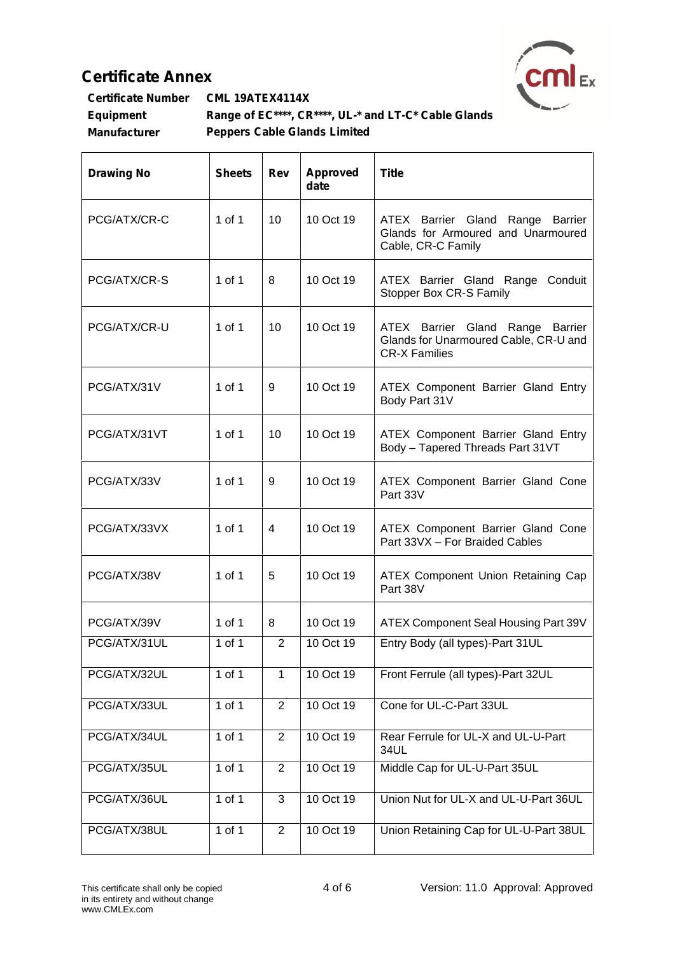$\mathbf{r}$ 



| <b>Certificate Number</b> | <b>CML 19ATEX4114X</b>                               |  |
|---------------------------|------------------------------------------------------|--|
| <b>Equipment</b>          | Range of EC****, CR****, UL-* and LT-C* Cable Glands |  |
| <b>Manufacturer</b>       | <b>Peppers Cable Glands Limited</b>                  |  |

| <b>Drawing No</b> | <b>Sheets</b> | Rev            | <b>Approved</b><br>date | <b>Title</b>                                                                                      |
|-------------------|---------------|----------------|-------------------------|---------------------------------------------------------------------------------------------------|
| PCG/ATX/CR-C      | $1$ of $1$    | 10             | 10 Oct 19               | ATEX Barrier Gland Range Barrier<br>Glands for Armoured and Unarmoured<br>Cable, CR-C Family      |
| PCG/ATX/CR-S      | $1$ of $1$    | 8              | 10 Oct 19               | ATEX Barrier Gland Range Conduit<br>Stopper Box CR-S Family                                       |
| PCG/ATX/CR-U      | $1$ of $1$    | 10             | 10 Oct 19               | ATEX Barrier Gland Range Barrier<br>Glands for Unarmoured Cable, CR-U and<br><b>CR-X Families</b> |
| PCG/ATX/31V       | $1$ of $1$    | 9              | 10 Oct 19               | ATEX Component Barrier Gland Entry<br>Body Part 31V                                               |
| PCG/ATX/31VT      | $1$ of $1$    | 10             | 10 Oct 19               | ATEX Component Barrier Gland Entry<br>Body - Tapered Threads Part 31VT                            |
| PCG/ATX/33V       | $1$ of $1$    | 9              | 10 Oct 19               | ATEX Component Barrier Gland Cone<br>Part 33V                                                     |
| PCG/ATX/33VX      | $1$ of $1$    | 4              | 10 Oct 19               | ATEX Component Barrier Gland Cone<br>Part 33VX - For Braided Cables                               |
| PCG/ATX/38V       | $1$ of $1$    | 5              | 10 Oct 19               | ATEX Component Union Retaining Cap<br>Part 38V                                                    |
| PCG/ATX/39V       | $1$ of $1$    | 8              | 10 Oct 19               | ATEX Component Seal Housing Part 39V                                                              |
| PCG/ATX/31UL      | 1 of 1        | 2              | 10 Oct 19               | Entry Body (all types)-Part 31UL                                                                  |
| PCG/ATX/32UL      | $1$ of $1$    | $\mathbf{1}$   | 10 Oct 19               | Front Ferrule (all types)-Part 32UL                                                               |
| PCG/ATX/33UL      | $1$ of $1$    | $\overline{2}$ | 10 Oct 19               | Cone for UL-C-Part 33UL                                                                           |
| PCG/ATX/34UL      | $1$ of $1$    | 2              | 10 Oct 19               | Rear Ferrule for UL-X and UL-U-Part<br>34UL                                                       |
| PCG/ATX/35UL      | $1$ of $1$    | $\overline{2}$ | 10 Oct 19               | Middle Cap for UL-U-Part 35UL                                                                     |
| PCG/ATX/36UL      | $1$ of $1$    | 3              | 10 Oct 19               | Union Nut for UL-X and UL-U-Part 36UL                                                             |
| PCG/ATX/38UL      | $1$ of $1$    | $\overline{2}$ | 10 Oct 19               | Union Retaining Cap for UL-U-Part 38UL                                                            |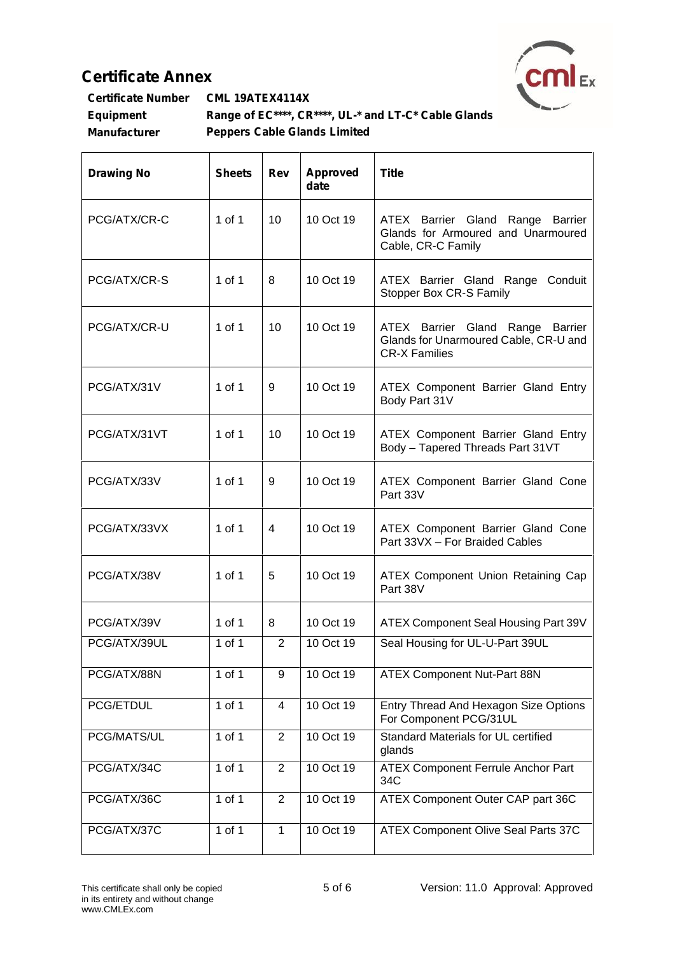$\mathbf{r}$ 



| <b>Certificate Number</b> | <b>CML 19ATEX4114X</b>                               |  |
|---------------------------|------------------------------------------------------|--|
| <b>Equipment</b>          | Range of EC****, CR****, UL-* and LT-C* Cable Glands |  |
| <b>Manufacturer</b>       | <b>Peppers Cable Glands Limited</b>                  |  |

| <b>Drawing No</b> | <b>Sheets</b> | Rev            | <b>Approved</b><br>date | <b>Title</b>                                                                                      |
|-------------------|---------------|----------------|-------------------------|---------------------------------------------------------------------------------------------------|
| PCG/ATX/CR-C      | $1$ of $1$    | 10             | 10 Oct 19               | ATEX Barrier Gland Range Barrier<br>Glands for Armoured and Unarmoured<br>Cable, CR-C Family      |
| PCG/ATX/CR-S      | $1$ of $1$    | 8              | 10 Oct 19               | ATEX Barrier Gland Range Conduit<br>Stopper Box CR-S Family                                       |
| PCG/ATX/CR-U      | $1$ of $1$    | 10             | 10 Oct 19               | ATEX Barrier Gland Range Barrier<br>Glands for Unarmoured Cable, CR-U and<br><b>CR-X Families</b> |
| PCG/ATX/31V       | $1$ of $1$    | 9              | 10 Oct 19               | ATEX Component Barrier Gland Entry<br>Body Part 31V                                               |
| PCG/ATX/31VT      | $1$ of $1$    | 10             | 10 Oct 19               | ATEX Component Barrier Gland Entry<br>Body - Tapered Threads Part 31VT                            |
| PCG/ATX/33V       | $1$ of $1$    | 9              | 10 Oct 19               | ATEX Component Barrier Gland Cone<br>Part 33V                                                     |
| PCG/ATX/33VX      | $1$ of $1$    | 4              | 10 Oct 19               | ATEX Component Barrier Gland Cone<br>Part 33VX - For Braided Cables                               |
| PCG/ATX/38V       | $1$ of $1$    | 5              | 10 Oct 19               | ATEX Component Union Retaining Cap<br>Part 38V                                                    |
| PCG/ATX/39V       | $1$ of $1$    | 8              | 10 Oct 19               | ATEX Component Seal Housing Part 39V                                                              |
| PCG/ATX/39UL      | 1 of 1        | 2              | 10 Oct 19               | Seal Housing for UL-U-Part 39UL                                                                   |
| PCG/ATX/88N       | 1 of 1        | 9              | 10 Oct 19               | ATEX Component Nut-Part 88N                                                                       |
| PCG/ETDUL         | $1$ of $1$    | 4              | 10 Oct 19               | Entry Thread And Hexagon Size Options<br>For Component PCG/31UL                                   |
| PCG/MATS/UL       | $1$ of $1$    | $\overline{2}$ | 10 Oct 19               | Standard Materials for UL certified<br>glands                                                     |
| PCG/ATX/34C       | $1$ of $1$    | $\overline{2}$ | 10 Oct 19               | <b>ATEX Component Ferrule Anchor Part</b><br>34C                                                  |
| PCG/ATX/36C       | $1$ of $1$    | $\overline{2}$ | 10 Oct 19               | ATEX Component Outer CAP part 36C                                                                 |
| PCG/ATX/37C       | $1$ of $1$    | $\mathbf{1}$   | 10 Oct 19               | ATEX Component Olive Seal Parts 37C                                                               |